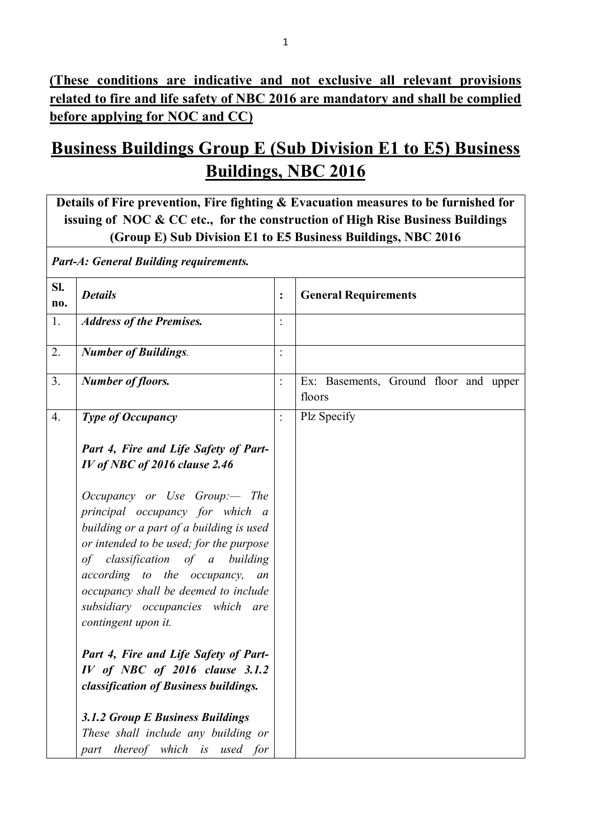**(These conditions are indicative and not exclusive all relevant provisions related to fire and life safety of NBC 2016 are mandatory and shall be complied before applying for NOC and CC)**

# **Business Buildings Group E (Sub Division E1 to E5) Business Buildings, NBC 2016**

**Details of Fire prevention, Fire fighting & Evacuation measures to be furnished for issuing of NOC & CC etc., for the construction of High Rise Business Buildings (Group E) Sub Division E1 to E5 Business Buildings, NBC 2016**

*Part-A: General Building requirements.* **Sl. no.** *Details* **i**: **General Requirements** 1. *Address of the Premises.* : 2. *Number of Buildings.* : 3. **Number of floors. : Ex:** Basements, Ground floor and upper floors 4. *Type of Occupancy Part 4, Fire and Life Safety of Part-IV of NBC of 2016 clause 2.46 Occupancy or Use Group:— The principal occupancy for which a building or a part of a building is used or intended to be used; for the purpose of classification of a building according to the occupancy, an occupancy shall be deemed to include subsidiary occupancies which are contingent upon it. Part 4, Fire and Life Safety of Part-IV of NBC of 2016 clause 3.1.2 classification of Business buildings. 3.1.2 Group E Business Buildings These shall include any building or part thereof which is used for*  Plz Specify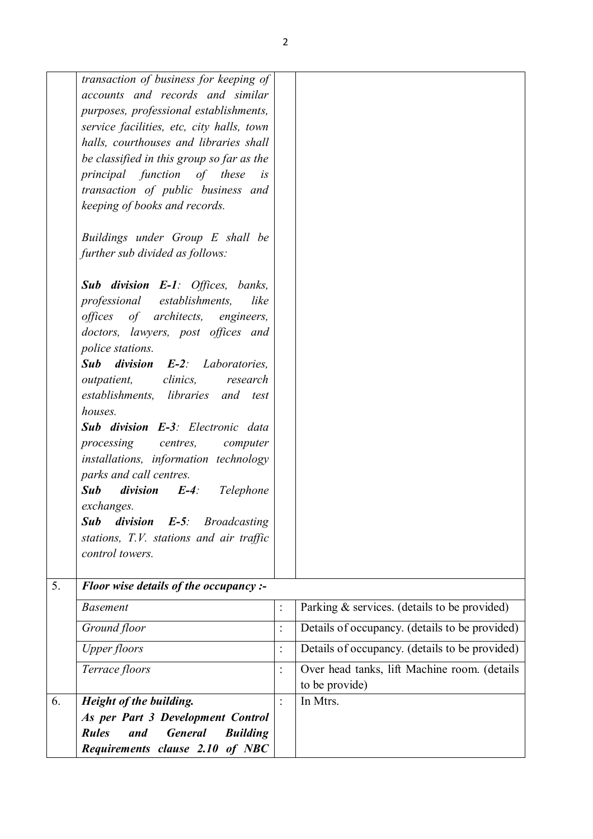|    | transaction of business for keeping of<br>accounts and records and similar<br>purposes, professional establishments,<br>service facilities, etc, city halls, town<br>halls, courthouses and libraries shall<br>be classified in this group so far as the<br>principal function of these<br>i <sub>S</sub><br>transaction of public business and<br>keeping of books and records.<br>Buildings under Group E shall be<br>further sub divided as follows:<br><b>Sub division E-1:</b> Offices, banks,<br>professional establishments,<br>like<br>offices of architects, engineers,<br>doctors, lawyers, post offices and<br>police stations.<br>Sub division<br><b>E-2</b> : Laboratories,<br>clinics,<br>outpatient,<br>research<br>establishments, libraries and test<br>houses.<br>Sub division E-3: Electronic data<br>processing centres,<br>computer |                |                                                |
|----|----------------------------------------------------------------------------------------------------------------------------------------------------------------------------------------------------------------------------------------------------------------------------------------------------------------------------------------------------------------------------------------------------------------------------------------------------------------------------------------------------------------------------------------------------------------------------------------------------------------------------------------------------------------------------------------------------------------------------------------------------------------------------------------------------------------------------------------------------------|----------------|------------------------------------------------|
|    | installations, information technology<br>parks and call centres.<br><b>Sub</b><br>division<br>$E-4$ :<br>Telephone<br>exchanges.<br><b>Sub</b><br>division<br>$E-5$ :<br><b>Broadcasting</b><br>stations, T.V. stations and air traffic<br>control towers.                                                                                                                                                                                                                                                                                                                                                                                                                                                                                                                                                                                               |                |                                                |
| 5. | Floor wise details of the occupancy :-                                                                                                                                                                                                                                                                                                                                                                                                                                                                                                                                                                                                                                                                                                                                                                                                                   |                |                                                |
|    | <b>Basement</b>                                                                                                                                                                                                                                                                                                                                                                                                                                                                                                                                                                                                                                                                                                                                                                                                                                          | $\ddot{\cdot}$ | Parking & services. (details to be provided)   |
|    | Ground floor                                                                                                                                                                                                                                                                                                                                                                                                                                                                                                                                                                                                                                                                                                                                                                                                                                             | $\ddot{\cdot}$ | Details of occupancy. (details to be provided) |

| Upper floors                                             | ٠ | Details of occupancy. (details to be provided) |
|----------------------------------------------------------|---|------------------------------------------------|
| Terrace floors                                           |   | Over head tanks, lift Machine room. (details   |
|                                                          |   | to be provide)                                 |
| Height of the building.                                  | ٠ | In Mtrs.                                       |
|                                                          |   |                                                |
| <b>General</b><br><b>Building</b><br>and<br><b>Rules</b> |   |                                                |
| Requirements clause 2.10 of NBC                          |   |                                                |
|                                                          |   | As per Part 3 Development Control              |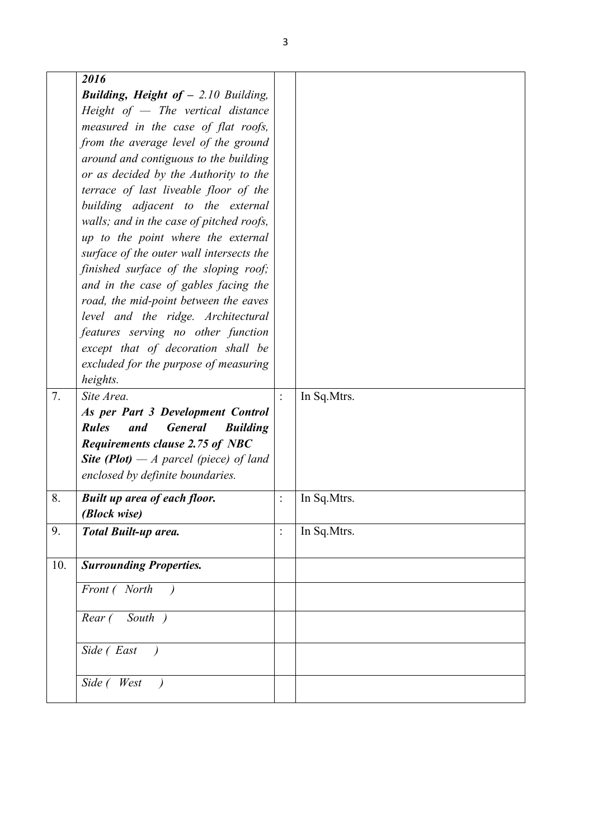|                   | 2016                                                     |                |              |
|-------------------|----------------------------------------------------------|----------------|--------------|
|                   | <b>Building, Height of - 2.10 Building,</b>              |                |              |
|                   | Height of $-$ The vertical distance                      |                |              |
|                   | measured in the case of flat roofs,                      |                |              |
|                   | from the average level of the ground                     |                |              |
|                   | around and contiguous to the building                    |                |              |
|                   | or as decided by the Authority to the                    |                |              |
|                   | terrace of last liveable floor of the                    |                |              |
|                   | building adjacent to the external                        |                |              |
|                   | walls; and in the case of pitched roofs,                 |                |              |
|                   | up to the point where the external                       |                |              |
|                   |                                                          |                |              |
|                   | surface of the outer wall intersects the                 |                |              |
|                   | finished surface of the sloping roof;                    |                |              |
|                   | and in the case of gables facing the                     |                |              |
|                   | road, the mid-point between the eaves                    |                |              |
|                   | level and the ridge. Architectural                       |                |              |
|                   | features serving no other function                       |                |              |
|                   | except that of decoration shall be                       |                |              |
|                   | excluded for the purpose of measuring                    |                |              |
|                   | heights.                                                 |                |              |
| 7.                | Site Area.                                               | $\ddot{\cdot}$ | In Sq.Mtrs.  |
|                   | As per Part 3 Development Control                        |                |              |
|                   | <b>Rules</b><br><b>General</b><br>and<br><b>Building</b> |                |              |
|                   | <b>Requirements clause 2.75 of NBC</b>                   |                |              |
|                   | <b>Site (Plot)</b> — A parcel (piece) of land            |                |              |
|                   | enclosed by definite boundaries.                         |                |              |
| 8.                | <b>Built up area of each floor.</b>                      | $\ddot{\cdot}$ | In Sq. Mtrs. |
|                   | (Block wise)                                             |                |              |
| 9.                | <b>Total Built-up area.</b>                              | $\ddot{\cdot}$ | In Sq.Mtrs.  |
|                   |                                                          |                |              |
| $\overline{10}$ . | <b>Surrounding Properties.</b>                           |                |              |
|                   | Front (North                                             |                |              |
|                   |                                                          |                |              |
|                   | South )<br>Rear (                                        |                |              |
|                   |                                                          |                |              |
|                   | Side (East                                               |                |              |
|                   |                                                          |                |              |
|                   |                                                          |                |              |
|                   | Side (West                                               |                |              |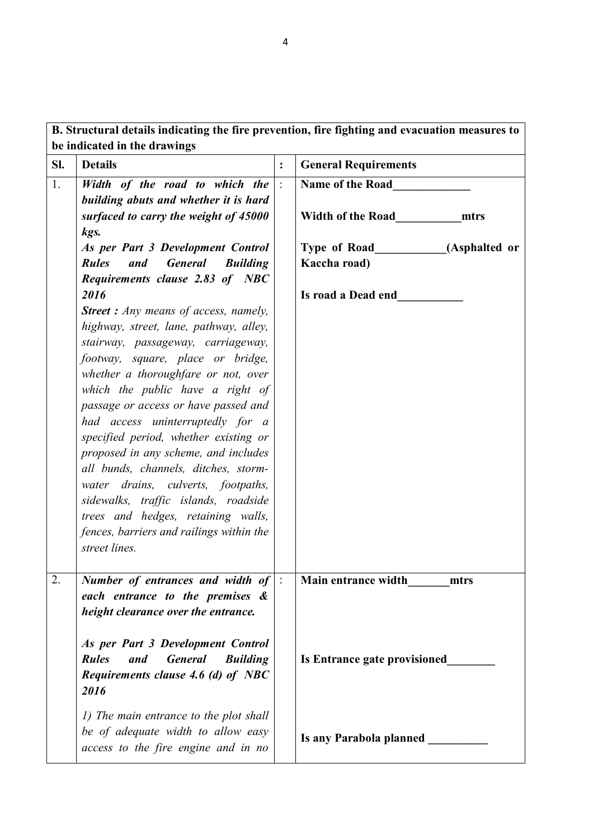**B. Structural details indicating the fire prevention, fire fighting and evacuation measures to be indicated in the drawings**

| Sl. | <b>Details</b>                                                          | $\ddot{\cdot}$ | <b>General Requirements</b>      |
|-----|-------------------------------------------------------------------------|----------------|----------------------------------|
| 1.  | Width of the road to which the<br>building abuts and whether it is hard |                | Name of the Road                 |
|     | surfaced to carry the weight of 45000                                   |                | <b>Width of the Road</b><br>mtrs |
|     | kgs.                                                                    |                |                                  |
|     | As per Part 3 Development Control                                       |                | Type of Road (Asphalted or       |
|     | <b>General</b><br><b>Rules</b><br>and<br><b>Building</b>                |                | Kaccha road)                     |
|     | Requirements clause 2.83 of NBC                                         |                |                                  |
|     | 2016                                                                    |                | Is road a Dead end               |
|     | <b>Street :</b> Any means of access, namely,                            |                |                                  |
|     | highway, street, lane, pathway, alley,                                  |                |                                  |
|     | stairway, passageway, carriageway,                                      |                |                                  |
|     | footway, square, place or bridge,                                       |                |                                  |
|     | whether a thoroughfare or not, over                                     |                |                                  |
|     | which the public have a right of                                        |                |                                  |
|     | passage or access or have passed and                                    |                |                                  |
|     | had access uninterruptedly for a                                        |                |                                  |
|     | specified period, whether existing or                                   |                |                                  |
|     | proposed in any scheme, and includes                                    |                |                                  |
|     | all bunds, channels, ditches, storm-                                    |                |                                  |
|     | water drains, culverts, footpaths,                                      |                |                                  |
|     | sidewalks, traffic islands, roadside                                    |                |                                  |
|     | trees and hedges, retaining walls,                                      |                |                                  |
|     | fences, barriers and railings within the                                |                |                                  |
|     | street lines.                                                           |                |                                  |
| 2.  | Number of entrances and width of $\vert$ :                              |                | Main entrance width<br>mtrs      |
|     | each entrance to the premises &                                         |                |                                  |
|     | height clearance over the entrance.                                     |                |                                  |
|     |                                                                         |                |                                  |
|     | As per Part 3 Development Control                                       |                |                                  |
|     | <b>Rules</b><br><b>General</b><br><b>Building</b><br>and                |                | Is Entrance gate provisioned     |
|     | Requirements clause 4.6 (d) of NBC                                      |                |                                  |
|     | 2016                                                                    |                |                                  |
|     |                                                                         |                |                                  |
|     | 1) The main entrance to the plot shall                                  |                |                                  |
|     | be of adequate width to allow easy                                      |                | Is any Parabola planned _____    |
|     | access to the fire engine and in no                                     |                |                                  |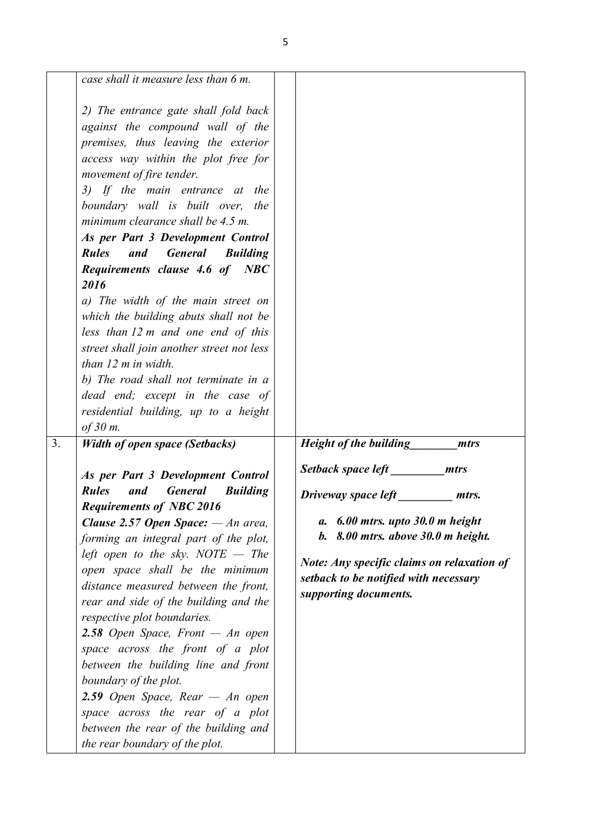| case shall it measure less than 6 m.                                                                                                                                                                                                                                                                                                                                                                                                                                                                                                                                                                                                                                                                                                                 |                                       |                                   |                                                                                                                                                                                                                                         |
|------------------------------------------------------------------------------------------------------------------------------------------------------------------------------------------------------------------------------------------------------------------------------------------------------------------------------------------------------------------------------------------------------------------------------------------------------------------------------------------------------------------------------------------------------------------------------------------------------------------------------------------------------------------------------------------------------------------------------------------------------|---------------------------------------|-----------------------------------|-----------------------------------------------------------------------------------------------------------------------------------------------------------------------------------------------------------------------------------------|
| 2) The entrance gate shall fold back<br>against the compound wall of the<br>premises, thus leaving the exterior<br>access way within the plot free for<br>movement of fire tender.<br>3) If the main entrance at the<br>boundary wall is built over, the<br>minimum clearance shall be 4.5 m.<br>As per Part 3 Development Control<br><b>General</b><br><b>Rules</b><br>and<br><b>Building</b><br>Requirements clause 4.6 of NBC<br>2016<br>a) The width of the main street on<br>which the building abuts shall not be<br>less than 12 m and one end of this<br>street shall join another street not less<br>than 12 m in width.<br>b) The road shall not terminate in a<br>dead end; except in the case of<br>residential building, up to a height |                                       |                                   |                                                                                                                                                                                                                                         |
| of 30 m.                                                                                                                                                                                                                                                                                                                                                                                                                                                                                                                                                                                                                                                                                                                                             |                                       |                                   |                                                                                                                                                                                                                                         |
|                                                                                                                                                                                                                                                                                                                                                                                                                                                                                                                                                                                                                                                                                                                                                      |                                       |                                   | mtrs                                                                                                                                                                                                                                    |
| As per Part 3 Development Control<br><b>Rules</b><br>and<br><b>General</b><br><b>Building</b><br><b>Requirements of NBC 2016</b><br><b>Clause 2.57 Open Space:</b> $-An$ area,<br>forming an integral part of the plot,<br>left open to the sky. NOTE $-$ The<br>open space shall be the minimum<br>distance measured between the front,<br>rear and side of the building and the<br>respective plot boundaries.<br>2.58 Open Space, Front $-$ An open<br>space across the front of a plot<br>between the building line and front<br>boundary of the plot.<br>2.59 Open Space, Rear $-$ An open<br>space across the rear of a plot<br>between the rear of the building and<br>the rear boundary of the plot.                                         | а.                                    | $6.00$ mtrs. upto $30.0$ m height | mtrs.                                                                                                                                                                                                                                   |
|                                                                                                                                                                                                                                                                                                                                                                                                                                                                                                                                                                                                                                                                                                                                                      | <b>Width of open space (Setbacks)</b> |                                   | Height of the building<br>Setback space left mtrs<br>Driveway space left<br>$b. 8.00$ mtrs. above 30.0 m height.<br><b>Note: Any specific claims on relaxation of</b><br>setback to be notified with necessary<br>supporting documents. |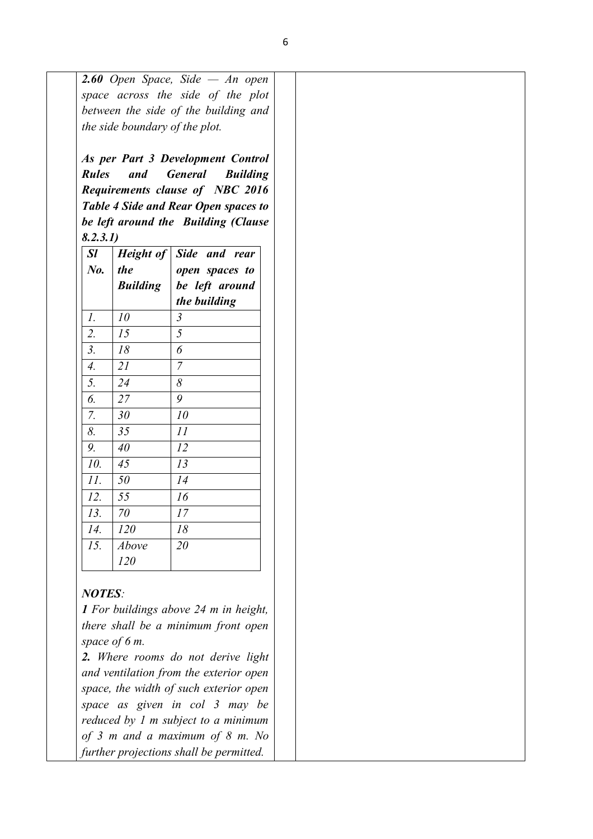|                  |                 | As per Part 3 Development Control    |
|------------------|-----------------|--------------------------------------|
| <b>Rules</b>     | and             | <b>General</b><br><b>Building</b>    |
|                  |                 | Requirements clause of NBC 2016      |
|                  |                 | Table 4 Side and Rear Open spaces to |
|                  |                 | be left around the Building (Clause  |
| 8.2.3.1)         |                 |                                      |
| <i>Sl</i>        | Height of       | Side and rear                        |
| $N_{0}$ .        | the             | open spaces to                       |
|                  | <b>Building</b> | be left around                       |
|                  |                 | the building                         |
| 1.               | 10              | $\mathfrak{Z}$                       |
| 2.               | 15              | 5                                    |
| $\mathfrak{Z}$ . | 18              | 6                                    |
| 4.               | 21              | $\overline{7}$                       |
| 5.               | 24              | 8                                    |
| 6.               | 27              | 9                                    |
| 7.               | 30              | 10                                   |
| 8.               | 35              | 11                                   |
| 9.               | 40              | 12                                   |
| 10.              | 45              | 13                                   |
| 11.              | 50              | 14                                   |
| 12.              | 55              | 16                                   |
| 13.              | 70              | 17                                   |
| 14.              | 120             | 18                                   |
| 15.              | Above           | 20                                   |
|                  | 120             |                                      |

*there shall be a minimum front open space of 6 m.* 

*2. Where rooms do not derive light and ventilation from the exterior open space, the width of such exterior open space as given in col 3 may be reduced by 1 m subject to a minimum of 3 m and a maximum of 8 m. No further projections shall be permitted.*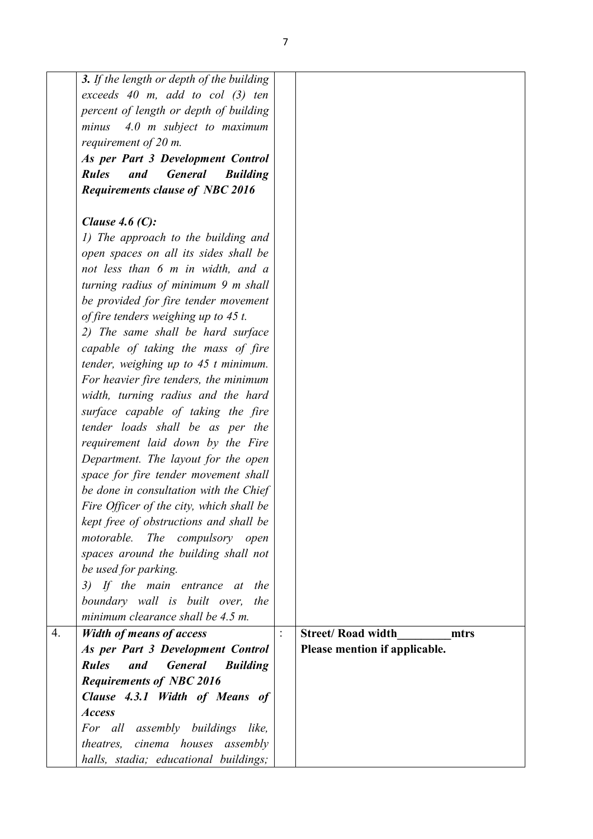|    | 3. If the length or depth of the building                |                                  |
|----|----------------------------------------------------------|----------------------------------|
|    | exceeds $40$ m, add to col $(3)$ ten                     |                                  |
|    | percent of length or depth of building                   |                                  |
|    | 4.0 m subject to maximum<br>minus                        |                                  |
|    | requirement of $20$ m.                                   |                                  |
|    | As per Part 3 Development Control                        |                                  |
|    | <b>General</b><br><b>Rules</b><br>and<br><b>Building</b> |                                  |
|    | <b>Requirements clause of NBC 2016</b>                   |                                  |
|    |                                                          |                                  |
|    | Clause 4.6 $(C)$ :                                       |                                  |
|    | 1) The approach to the building and                      |                                  |
|    | open spaces on all its sides shall be                    |                                  |
|    | not less than 6 m in width, and a                        |                                  |
|    | turning radius of minimum 9 m shall                      |                                  |
|    | be provided for fire tender movement                     |                                  |
|    | of fire tenders weighing up to 45 t.                     |                                  |
|    | 2) The same shall be hard surface                        |                                  |
|    | capable of taking the mass of fire                       |                                  |
|    | tender, weighing up to $45$ t minimum.                   |                                  |
|    | For heavier fire tenders, the minimum                    |                                  |
|    | width, turning radius and the hard                       |                                  |
|    | surface capable of taking the fire                       |                                  |
|    | tender loads shall be as per the                         |                                  |
|    | requirement laid down by the Fire                        |                                  |
|    | Department. The layout for the open                      |                                  |
|    | space for fire tender movement shall                     |                                  |
|    | be done in consultation with the Chief                   |                                  |
|    | Fire Officer of the city, which shall be                 |                                  |
|    | kept free of obstructions and shall be                   |                                  |
|    | motorable. The compulsory open                           |                                  |
|    | spaces around the building shall not                     |                                  |
|    | be used for parking.                                     |                                  |
|    | 3) If the main entrance at the                           |                                  |
|    | boundary wall is built over, the                         |                                  |
|    | minimum clearance shall be 4.5 m.                        |                                  |
| 4. | <b>Width of means of access</b>                          | <b>Street/Road width</b><br>mtrs |
|    | As per Part 3 Development Control                        | Please mention if applicable.    |
|    | <b>Rules</b><br>and<br><b>General</b><br><b>Building</b> |                                  |
|    | <b>Requirements of NBC 2016</b>                          |                                  |
|    | Clause 4.3.1 Width of Means of                           |                                  |
|    | <b>Access</b>                                            |                                  |
|    | For all assembly buildings like,                         |                                  |
|    | theatres, cinema houses assembly                         |                                  |
|    | halls, stadia; educational buildings;                    |                                  |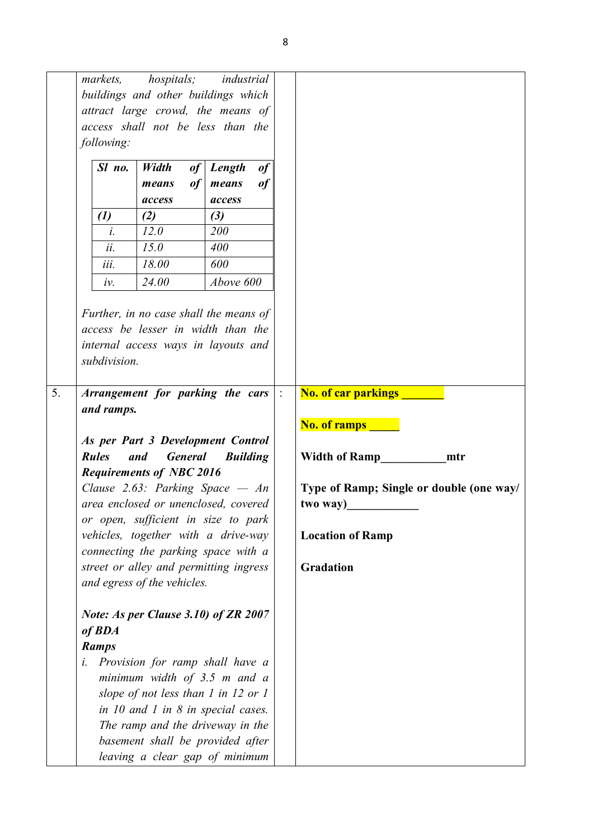|    | <i>markets,</i><br>following:<br>Sl no.<br>$\left( l\right)$<br>$\dot{l}$ .<br>ii.<br>iii. | hospitals; industrial<br>buildings and other buildings which<br>attract large crowd, the means of<br>access shall not be less than the<br>Width<br>of<br>of<br>means<br>access<br>(2)<br>12.0<br>15.0<br>18.00                                                                                                                                                                                               | Length<br>means<br>access<br>$(3)$<br>200<br>400<br>600 | of<br>of |                                                                                                                                                                                         |
|----|--------------------------------------------------------------------------------------------|--------------------------------------------------------------------------------------------------------------------------------------------------------------------------------------------------------------------------------------------------------------------------------------------------------------------------------------------------------------------------------------------------------------|---------------------------------------------------------|----------|-----------------------------------------------------------------------------------------------------------------------------------------------------------------------------------------|
|    | iv.<br>subdivision.                                                                        | 24.00<br>Further, in no case shall the means of<br>access be lesser in width than the<br>internal access ways in layouts and                                                                                                                                                                                                                                                                                 | Above 600                                               |          |                                                                                                                                                                                         |
| 5. | and ramps.<br><b>Rules</b>                                                                 | Arrangement for parking the cars<br>As per Part 3 Development Control<br><b>General</b><br>and<br><b>Requirements of NBC 2016</b><br>Clause 2.63: Parking Space $- An$<br>area enclosed or unenclosed, covered<br>or open, sufficient in size to park<br>vehicles, together with a drive-way<br>connecting the parking space with a<br>street or alley and permitting ingress<br>and egress of the vehicles. | <b>Building</b>                                         |          | <b>No. of car parkings</b><br><b>No. of ramps</b><br><b>Width of Ramp</b><br>mtr<br>Type of Ramp; Single or double (one way/<br>two way)<br><b>Location of Ramp</b><br><b>Gradation</b> |
|    | of <b>BDA</b><br><b>Ramps</b><br>i.                                                        | Note: As per Clause 3.10) of ZR 2007<br>Provision for ramp shall have a<br>minimum width of $3.5$ m and a<br>slope of not less than $1$ in $12$ or $1$<br>in $10$ and $1$ in $8$ in special cases.<br>The ramp and the driveway in the<br>basement shall be provided after<br>leaving a clear gap of minimum                                                                                                 |                                                         |          |                                                                                                                                                                                         |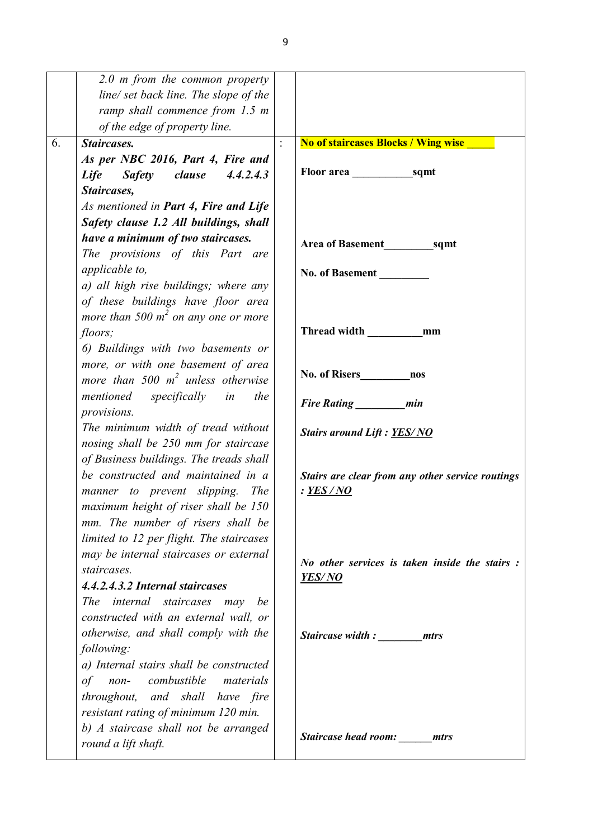|    | $2.0$ m from the common property         |                                                       |
|----|------------------------------------------|-------------------------------------------------------|
|    | line/ set back line. The slope of the    |                                                       |
|    | ramp shall commence from 1.5 m           |                                                       |
|    | of the edge of property line.            |                                                       |
| 6. | <b>Staircases.</b>                       | <b>No of staircases Blocks / Wing wise</b>            |
|    | As per NBC 2016, Part 4, Fire and        |                                                       |
|    | Safety clause<br>4.4.2.4.3<br>Life       |                                                       |
|    | Staircases,                              |                                                       |
|    | As mentioned in Part 4, Fire and Life    |                                                       |
|    | Safety clause 1.2 All buildings, shall   |                                                       |
|    | have a minimum of two staircases.        | Area of Basement sqmt                                 |
|    | The provisions of this Part are          |                                                       |
|    | applicable to,                           | <b>No. of Basement</b>                                |
|    | a) all high rise buildings; where any    |                                                       |
|    | of these buildings have floor area       |                                                       |
|    | more than 500 $m^2$ on any one or more   |                                                       |
|    | floors;                                  |                                                       |
|    | 6) Buildings with two basements or       |                                                       |
|    | more, or with one basement of area       |                                                       |
|    | more than 500 $m^2$ unless otherwise     | No. of Risers nos                                     |
|    | specifically in<br>mentioned<br>the      | Fire Rating ________ min                              |
|    | provisions.                              |                                                       |
|    | The minimum width of tread without       | <b>Stairs around Lift: YES/NO</b>                     |
|    | nosing shall be 250 mm for staircase     |                                                       |
|    | of Business buildings. The treads shall  |                                                       |
|    | be constructed and maintained in a       | Stairs are clear from any other service routings      |
|    | manner to prevent slipping. The          | : YES / NO                                            |
|    | maximum height of riser shall be 150     |                                                       |
|    | mm. The number of risers shall be        |                                                       |
|    | limited to 12 per flight. The staircases |                                                       |
|    | may be internal staircases or external   | <i>No other services is taken inside the stairs :</i> |
|    | staircases.                              | <b>YES/NO</b>                                         |
|    | 4.4.2.4.3.2 Internal staircases          |                                                       |
|    | The internal staircases may<br>be        |                                                       |
|    | constructed with an external wall, or    |                                                       |
|    | otherwise, and shall comply with the     | Staircase width: mtrs                                 |
|    | following:                               |                                                       |
|    | a) Internal stairs shall be constructed  |                                                       |
|    | non- combustible materials<br>of         |                                                       |
|    | throughout, and shall have fire          |                                                       |
|    | resistant rating of minimum 120 min.     |                                                       |
|    | b) A staircase shall not be arranged     | Staircase head room: ______ mtrs                      |
|    | round a lift shaft.                      |                                                       |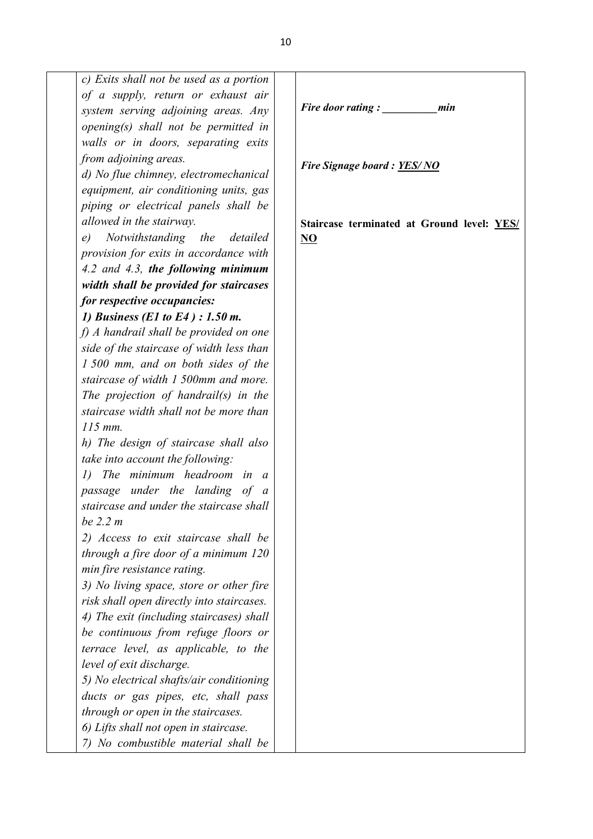| c) Exits shall not be used as a portion          |                     |
|--------------------------------------------------|---------------------|
| of a supply, return or exhaust air               |                     |
| system serving adjoining areas. Any              | Fire c              |
| opening(s) shall not be permitted in             |                     |
| walls or in doors, separating exits              |                     |
| from adjoining areas.                            |                     |
| d) No flue chimney, electromechanical            | <b>Fire</b>         |
| equipment, air conditioning units, gas           |                     |
| piping or electrical panels shall be             |                     |
| allowed in the stairway.                         | Stairo              |
| e) Notwithstanding the detailed                  | $\overline{\bf NO}$ |
| provision for exits in accordance with           |                     |
| 4.2 and 4.3, the following minimum               |                     |
| width shall be provided for staircases           |                     |
| for respective occupancies:                      |                     |
| 1) Business (E1 to E4) : 1.50 m.                 |                     |
| f) A handrail shall be provided on one           |                     |
| side of the staircase of width less than         |                     |
| 1 500 mm, and on both sides of the               |                     |
| staircase of width 1 500mm and more.             |                     |
| The projection of handrail(s) in the             |                     |
| staircase width shall not be more than           |                     |
| $115$ mm.                                        |                     |
| h) The design of staircase shall also            |                     |
| <i>take into account the following:</i>          |                     |
| 1) The minimum headroom in<br>a                  |                     |
| passage under the landing of<br>$\boldsymbol{a}$ |                     |
| staircase and under the staircase shall          |                     |
| be 2.2 m                                         |                     |
| 2) Access to exit staircase shall be             |                     |
| through a fire door of a minimum 120             |                     |
| min fire resistance rating.                      |                     |
| 3) No living space, store or other fire          |                     |
| risk shall open directly into staircases.        |                     |
| 4) The exit (including staircases) shall         |                     |
| be continuous from refuge floors or              |                     |
| terrace level, as applicable, to the             |                     |
| level of exit discharge.                         |                     |
| 5) No electrical shafts/air conditioning         |                     |
| ducts or gas pipes, etc, shall pass              |                     |
| through or open in the staircases.               |                     |
| 6) Lifts shall not open in staircase.            |                     |
| 7) No combustible material shall be              |                     |
|                                                  |                     |

*Fire door rating : \_\_\_\_\_\_\_\_\_\_min*

*Fire Signage board : YES/ NO*

**Staircase terminated at Ground level: YES/**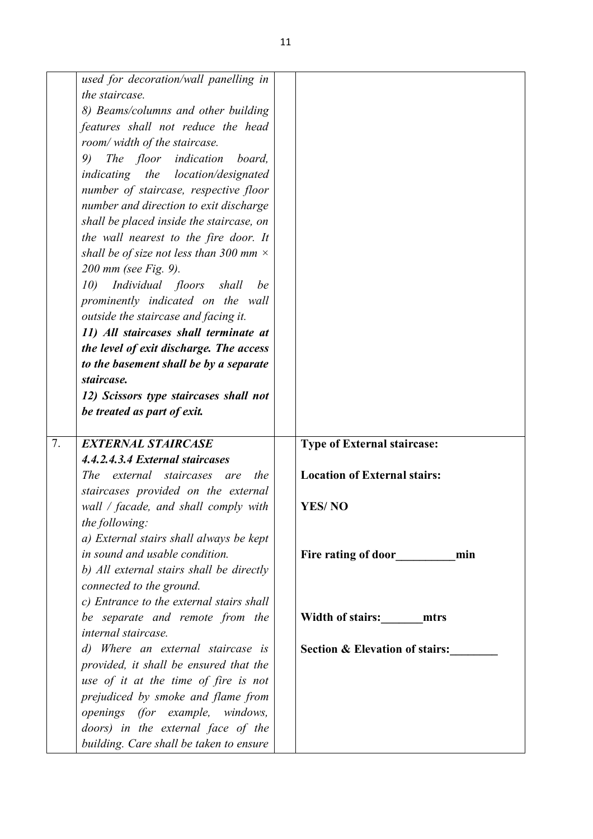|    | used for decoration/wall panelling in<br>the staircase.<br>8) Beams/columns and other building<br>features shall not reduce the head<br>room/ width of the staircase.<br>The floor indication<br>9)<br>board,<br>indicating the location/designated<br>number of staircase, respective floor<br>number and direction to exit discharge<br>shall be placed inside the staircase, on<br>the wall nearest to the fire door. It<br>shall be of size not less than 300 mm $\times$<br>200 mm (see Fig. 9).<br>Individual floors shall<br>10)<br>be<br>prominently indicated on the wall<br>outside the staircase and facing it.<br>11) All staircases shall terminate at<br>the level of exit discharge. The access<br>to the basement shall be by a separate<br>staircase. |                                           |
|----|------------------------------------------------------------------------------------------------------------------------------------------------------------------------------------------------------------------------------------------------------------------------------------------------------------------------------------------------------------------------------------------------------------------------------------------------------------------------------------------------------------------------------------------------------------------------------------------------------------------------------------------------------------------------------------------------------------------------------------------------------------------------|-------------------------------------------|
|    | 12) Scissors type staircases shall not                                                                                                                                                                                                                                                                                                                                                                                                                                                                                                                                                                                                                                                                                                                                 |                                           |
|    | be treated as part of exit.                                                                                                                                                                                                                                                                                                                                                                                                                                                                                                                                                                                                                                                                                                                                            |                                           |
|    |                                                                                                                                                                                                                                                                                                                                                                                                                                                                                                                                                                                                                                                                                                                                                                        |                                           |
| 7. | <b>EXTERNAL STAIRCASE</b>                                                                                                                                                                                                                                                                                                                                                                                                                                                                                                                                                                                                                                                                                                                                              | <b>Type of External staircase:</b>        |
|    | 4.4.2.4.3.4 External staircases                                                                                                                                                                                                                                                                                                                                                                                                                                                                                                                                                                                                                                                                                                                                        |                                           |
|    | The external staircases<br>the<br>are                                                                                                                                                                                                                                                                                                                                                                                                                                                                                                                                                                                                                                                                                                                                  | <b>Location of External stairs:</b>       |
|    | staircases provided on the external                                                                                                                                                                                                                                                                                                                                                                                                                                                                                                                                                                                                                                                                                                                                    |                                           |
|    | wall / facade, and shall comply with                                                                                                                                                                                                                                                                                                                                                                                                                                                                                                                                                                                                                                                                                                                                   | <b>YES/NO</b>                             |
|    | the following:                                                                                                                                                                                                                                                                                                                                                                                                                                                                                                                                                                                                                                                                                                                                                         |                                           |
|    | a) External stairs shall always be kept                                                                                                                                                                                                                                                                                                                                                                                                                                                                                                                                                                                                                                                                                                                                |                                           |
|    | in sound and usable condition.                                                                                                                                                                                                                                                                                                                                                                                                                                                                                                                                                                                                                                                                                                                                         | Fire rating of door min                   |
|    | b) All external stairs shall be directly<br>connected to the ground.                                                                                                                                                                                                                                                                                                                                                                                                                                                                                                                                                                                                                                                                                                   |                                           |
|    |                                                                                                                                                                                                                                                                                                                                                                                                                                                                                                                                                                                                                                                                                                                                                                        |                                           |
|    | c) Entrance to the external stairs shall                                                                                                                                                                                                                                                                                                                                                                                                                                                                                                                                                                                                                                                                                                                               |                                           |
|    | be separate and remote from the                                                                                                                                                                                                                                                                                                                                                                                                                                                                                                                                                                                                                                                                                                                                        | Width of stairs: mtrs                     |
|    | internal staircase.                                                                                                                                                                                                                                                                                                                                                                                                                                                                                                                                                                                                                                                                                                                                                    |                                           |
|    | d) Where an external staircase is                                                                                                                                                                                                                                                                                                                                                                                                                                                                                                                                                                                                                                                                                                                                      | <b>Section &amp; Elevation of stairs:</b> |
|    | provided, it shall be ensured that the                                                                                                                                                                                                                                                                                                                                                                                                                                                                                                                                                                                                                                                                                                                                 |                                           |
|    | use of it at the time of fire is not                                                                                                                                                                                                                                                                                                                                                                                                                                                                                                                                                                                                                                                                                                                                   |                                           |
|    | prejudiced by smoke and flame from                                                                                                                                                                                                                                                                                                                                                                                                                                                                                                                                                                                                                                                                                                                                     |                                           |
|    | openings (for example, windows,                                                                                                                                                                                                                                                                                                                                                                                                                                                                                                                                                                                                                                                                                                                                        |                                           |
|    | doors) in the external face of the<br>building. Care shall be taken to ensure                                                                                                                                                                                                                                                                                                                                                                                                                                                                                                                                                                                                                                                                                          |                                           |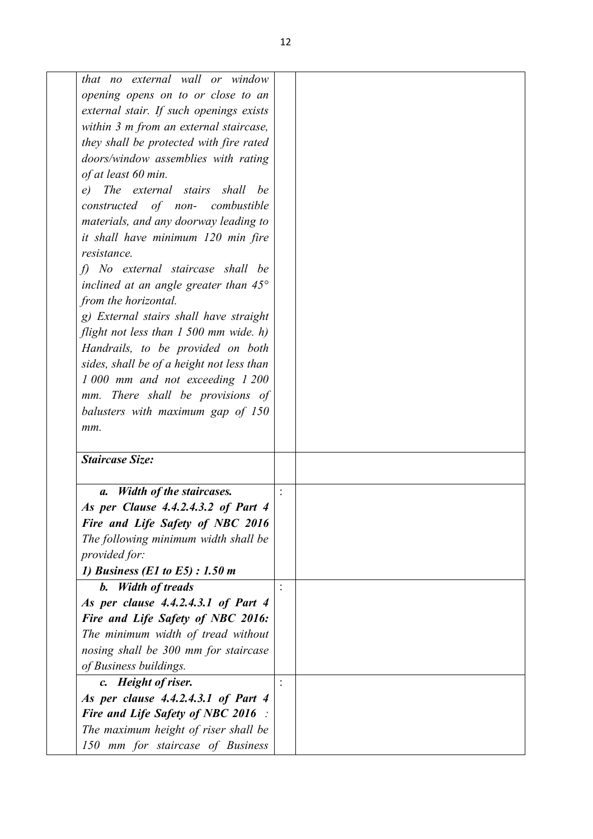| that no external wall or window                    |  |
|----------------------------------------------------|--|
| opening opens on to or close to an                 |  |
| external stair. If such openings exists            |  |
| within 3 m from an external staircase,             |  |
| they shall be protected with fire rated            |  |
| doors/window assemblies with rating                |  |
| of at least 60 min.                                |  |
| The external stairs shall<br>e)<br>be              |  |
| constructed of non- combustible                    |  |
| materials, and any doorway leading to              |  |
| it shall have minimum 120 min fire                 |  |
| resistance.                                        |  |
| f) No external staircase shall be                  |  |
| inclined at an angle greater than $45^{\circ}$     |  |
| from the horizontal.                               |  |
| g) External stairs shall have straight             |  |
| flight not less than 1 500 mm wide. h)             |  |
| Handrails, to be provided on both                  |  |
| sides, shall be of a height not less than          |  |
| 1 000 mm and not exceeding 1 200                   |  |
| mm. There shall be provisions of                   |  |
| balusters with maximum gap of 150                  |  |
|                                                    |  |
| mm.                                                |  |
| <b>Staircase Size:</b>                             |  |
| <b>Width of the staircases.</b><br>$\mathfrak{a}.$ |  |
| As per Clause 4.4.2.4.3.2 of Part 4                |  |
| Fire and Life Safety of NBC 2016                   |  |
| The following minimum width shall be               |  |
| provided for:                                      |  |
| 1) Business (E1 to E5) : 1.50 m                    |  |
| <b>b.</b> Width of treads                          |  |
| As per clause 4.4.2.4.3.1 of Part 4                |  |
| Fire and Life Safety of NBC 2016:                  |  |
| The minimum width of tread without                 |  |
| nosing shall be 300 mm for staircase               |  |
| of Business buildings.                             |  |
| c. Height of riser.                                |  |
| As per clause 4.4.2.4.3.1 of Part 4                |  |
| <b>Fire and Life Safety of NBC 2016</b> :          |  |
|                                                    |  |
| The maximum height of riser shall be               |  |
| 150 mm for staircase of Business                   |  |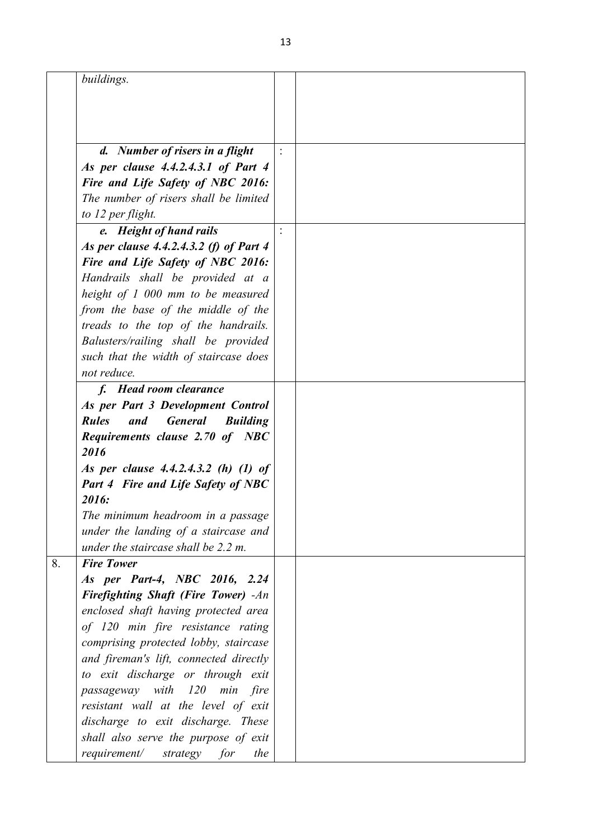| buildings.<br>d. Number of risers in a flight<br>As per clause 4.4.2.4.3.1 of Part 4<br>Fire and Life Safety of NBC 2016:<br>The number of risers shall be limited<br>to 12 per flight.<br>e. Height of hand rails<br>As per clause 4.4.2.4.3.2 (f) of Part 4<br>Fire and Life Safety of NBC 2016:<br>Handrails shall be provided at a<br>height of 1 000 mm to be measured<br>from the base of the middle of the<br>treads to the top of the handrails.<br>Balusters/railing shall be provided<br>such that the width of staircase does<br>not reduce.<br>f. Head room clearance<br>As per Part 3 Development Control<br><b>General</b><br><b>Rules</b><br>and<br><b>Building</b><br><b>Requirements clause 2.70 of NBC</b><br>2016<br>As per clause 4.4.2.4.3.2 (h) (1) of<br><b>Part 4 Fire and Life Safety of NBC</b><br>2016:<br>The minimum headroom in a passage<br>under the landing of a staircase and<br>under the staircase shall be 2.2 m.<br><b>Fire Tower</b><br>As per Part-4, NBC 2016, 2.24<br><b>Firefighting Shaft (Fire Tower)</b> -An<br>enclosed shaft having protected area<br>of 120 min fire resistance rating<br>comprising protected lobby, staircase<br>and fireman's lift, connected directly<br>to exit discharge or through exit<br>passageway with<br>$120$ min<br>fire<br>resistant wall at the level of exit<br>discharge to exit discharge. These<br>shall also serve the purpose of exit |                                  |  |
|------------------------------------------------------------------------------------------------------------------------------------------------------------------------------------------------------------------------------------------------------------------------------------------------------------------------------------------------------------------------------------------------------------------------------------------------------------------------------------------------------------------------------------------------------------------------------------------------------------------------------------------------------------------------------------------------------------------------------------------------------------------------------------------------------------------------------------------------------------------------------------------------------------------------------------------------------------------------------------------------------------------------------------------------------------------------------------------------------------------------------------------------------------------------------------------------------------------------------------------------------------------------------------------------------------------------------------------------------------------------------------------------------------------------------|----------------------------------|--|
|                                                                                                                                                                                                                                                                                                                                                                                                                                                                                                                                                                                                                                                                                                                                                                                                                                                                                                                                                                                                                                                                                                                                                                                                                                                                                                                                                                                                                              |                                  |  |
|                                                                                                                                                                                                                                                                                                                                                                                                                                                                                                                                                                                                                                                                                                                                                                                                                                                                                                                                                                                                                                                                                                                                                                                                                                                                                                                                                                                                                              |                                  |  |
|                                                                                                                                                                                                                                                                                                                                                                                                                                                                                                                                                                                                                                                                                                                                                                                                                                                                                                                                                                                                                                                                                                                                                                                                                                                                                                                                                                                                                              |                                  |  |
|                                                                                                                                                                                                                                                                                                                                                                                                                                                                                                                                                                                                                                                                                                                                                                                                                                                                                                                                                                                                                                                                                                                                                                                                                                                                                                                                                                                                                              |                                  |  |
|                                                                                                                                                                                                                                                                                                                                                                                                                                                                                                                                                                                                                                                                                                                                                                                                                                                                                                                                                                                                                                                                                                                                                                                                                                                                                                                                                                                                                              |                                  |  |
|                                                                                                                                                                                                                                                                                                                                                                                                                                                                                                                                                                                                                                                                                                                                                                                                                                                                                                                                                                                                                                                                                                                                                                                                                                                                                                                                                                                                                              |                                  |  |
|                                                                                                                                                                                                                                                                                                                                                                                                                                                                                                                                                                                                                                                                                                                                                                                                                                                                                                                                                                                                                                                                                                                                                                                                                                                                                                                                                                                                                              |                                  |  |
|                                                                                                                                                                                                                                                                                                                                                                                                                                                                                                                                                                                                                                                                                                                                                                                                                                                                                                                                                                                                                                                                                                                                                                                                                                                                                                                                                                                                                              |                                  |  |
|                                                                                                                                                                                                                                                                                                                                                                                                                                                                                                                                                                                                                                                                                                                                                                                                                                                                                                                                                                                                                                                                                                                                                                                                                                                                                                                                                                                                                              |                                  |  |
|                                                                                                                                                                                                                                                                                                                                                                                                                                                                                                                                                                                                                                                                                                                                                                                                                                                                                                                                                                                                                                                                                                                                                                                                                                                                                                                                                                                                                              |                                  |  |
|                                                                                                                                                                                                                                                                                                                                                                                                                                                                                                                                                                                                                                                                                                                                                                                                                                                                                                                                                                                                                                                                                                                                                                                                                                                                                                                                                                                                                              |                                  |  |
|                                                                                                                                                                                                                                                                                                                                                                                                                                                                                                                                                                                                                                                                                                                                                                                                                                                                                                                                                                                                                                                                                                                                                                                                                                                                                                                                                                                                                              |                                  |  |
|                                                                                                                                                                                                                                                                                                                                                                                                                                                                                                                                                                                                                                                                                                                                                                                                                                                                                                                                                                                                                                                                                                                                                                                                                                                                                                                                                                                                                              |                                  |  |
|                                                                                                                                                                                                                                                                                                                                                                                                                                                                                                                                                                                                                                                                                                                                                                                                                                                                                                                                                                                                                                                                                                                                                                                                                                                                                                                                                                                                                              |                                  |  |
|                                                                                                                                                                                                                                                                                                                                                                                                                                                                                                                                                                                                                                                                                                                                                                                                                                                                                                                                                                                                                                                                                                                                                                                                                                                                                                                                                                                                                              |                                  |  |
|                                                                                                                                                                                                                                                                                                                                                                                                                                                                                                                                                                                                                                                                                                                                                                                                                                                                                                                                                                                                                                                                                                                                                                                                                                                                                                                                                                                                                              |                                  |  |
|                                                                                                                                                                                                                                                                                                                                                                                                                                                                                                                                                                                                                                                                                                                                                                                                                                                                                                                                                                                                                                                                                                                                                                                                                                                                                                                                                                                                                              |                                  |  |
|                                                                                                                                                                                                                                                                                                                                                                                                                                                                                                                                                                                                                                                                                                                                                                                                                                                                                                                                                                                                                                                                                                                                                                                                                                                                                                                                                                                                                              |                                  |  |
|                                                                                                                                                                                                                                                                                                                                                                                                                                                                                                                                                                                                                                                                                                                                                                                                                                                                                                                                                                                                                                                                                                                                                                                                                                                                                                                                                                                                                              |                                  |  |
|                                                                                                                                                                                                                                                                                                                                                                                                                                                                                                                                                                                                                                                                                                                                                                                                                                                                                                                                                                                                                                                                                                                                                                                                                                                                                                                                                                                                                              |                                  |  |
|                                                                                                                                                                                                                                                                                                                                                                                                                                                                                                                                                                                                                                                                                                                                                                                                                                                                                                                                                                                                                                                                                                                                                                                                                                                                                                                                                                                                                              |                                  |  |
|                                                                                                                                                                                                                                                                                                                                                                                                                                                                                                                                                                                                                                                                                                                                                                                                                                                                                                                                                                                                                                                                                                                                                                                                                                                                                                                                                                                                                              |                                  |  |
|                                                                                                                                                                                                                                                                                                                                                                                                                                                                                                                                                                                                                                                                                                                                                                                                                                                                                                                                                                                                                                                                                                                                                                                                                                                                                                                                                                                                                              |                                  |  |
|                                                                                                                                                                                                                                                                                                                                                                                                                                                                                                                                                                                                                                                                                                                                                                                                                                                                                                                                                                                                                                                                                                                                                                                                                                                                                                                                                                                                                              |                                  |  |
|                                                                                                                                                                                                                                                                                                                                                                                                                                                                                                                                                                                                                                                                                                                                                                                                                                                                                                                                                                                                                                                                                                                                                                                                                                                                                                                                                                                                                              |                                  |  |
|                                                                                                                                                                                                                                                                                                                                                                                                                                                                                                                                                                                                                                                                                                                                                                                                                                                                                                                                                                                                                                                                                                                                                                                                                                                                                                                                                                                                                              |                                  |  |
|                                                                                                                                                                                                                                                                                                                                                                                                                                                                                                                                                                                                                                                                                                                                                                                                                                                                                                                                                                                                                                                                                                                                                                                                                                                                                                                                                                                                                              |                                  |  |
|                                                                                                                                                                                                                                                                                                                                                                                                                                                                                                                                                                                                                                                                                                                                                                                                                                                                                                                                                                                                                                                                                                                                                                                                                                                                                                                                                                                                                              |                                  |  |
|                                                                                                                                                                                                                                                                                                                                                                                                                                                                                                                                                                                                                                                                                                                                                                                                                                                                                                                                                                                                                                                                                                                                                                                                                                                                                                                                                                                                                              |                                  |  |
|                                                                                                                                                                                                                                                                                                                                                                                                                                                                                                                                                                                                                                                                                                                                                                                                                                                                                                                                                                                                                                                                                                                                                                                                                                                                                                                                                                                                                              |                                  |  |
|                                                                                                                                                                                                                                                                                                                                                                                                                                                                                                                                                                                                                                                                                                                                                                                                                                                                                                                                                                                                                                                                                                                                                                                                                                                                                                                                                                                                                              |                                  |  |
|                                                                                                                                                                                                                                                                                                                                                                                                                                                                                                                                                                                                                                                                                                                                                                                                                                                                                                                                                                                                                                                                                                                                                                                                                                                                                                                                                                                                                              |                                  |  |
|                                                                                                                                                                                                                                                                                                                                                                                                                                                                                                                                                                                                                                                                                                                                                                                                                                                                                                                                                                                                                                                                                                                                                                                                                                                                                                                                                                                                                              |                                  |  |
|                                                                                                                                                                                                                                                                                                                                                                                                                                                                                                                                                                                                                                                                                                                                                                                                                                                                                                                                                                                                                                                                                                                                                                                                                                                                                                                                                                                                                              |                                  |  |
|                                                                                                                                                                                                                                                                                                                                                                                                                                                                                                                                                                                                                                                                                                                                                                                                                                                                                                                                                                                                                                                                                                                                                                                                                                                                                                                                                                                                                              |                                  |  |
|                                                                                                                                                                                                                                                                                                                                                                                                                                                                                                                                                                                                                                                                                                                                                                                                                                                                                                                                                                                                                                                                                                                                                                                                                                                                                                                                                                                                                              |                                  |  |
|                                                                                                                                                                                                                                                                                                                                                                                                                                                                                                                                                                                                                                                                                                                                                                                                                                                                                                                                                                                                                                                                                                                                                                                                                                                                                                                                                                                                                              |                                  |  |
|                                                                                                                                                                                                                                                                                                                                                                                                                                                                                                                                                                                                                                                                                                                                                                                                                                                                                                                                                                                                                                                                                                                                                                                                                                                                                                                                                                                                                              |                                  |  |
|                                                                                                                                                                                                                                                                                                                                                                                                                                                                                                                                                                                                                                                                                                                                                                                                                                                                                                                                                                                                                                                                                                                                                                                                                                                                                                                                                                                                                              |                                  |  |
|                                                                                                                                                                                                                                                                                                                                                                                                                                                                                                                                                                                                                                                                                                                                                                                                                                                                                                                                                                                                                                                                                                                                                                                                                                                                                                                                                                                                                              |                                  |  |
|                                                                                                                                                                                                                                                                                                                                                                                                                                                                                                                                                                                                                                                                                                                                                                                                                                                                                                                                                                                                                                                                                                                                                                                                                                                                                                                                                                                                                              |                                  |  |
|                                                                                                                                                                                                                                                                                                                                                                                                                                                                                                                                                                                                                                                                                                                                                                                                                                                                                                                                                                                                                                                                                                                                                                                                                                                                                                                                                                                                                              |                                  |  |
|                                                                                                                                                                                                                                                                                                                                                                                                                                                                                                                                                                                                                                                                                                                                                                                                                                                                                                                                                                                                                                                                                                                                                                                                                                                                                                                                                                                                                              | requirement/ strategy for<br>the |  |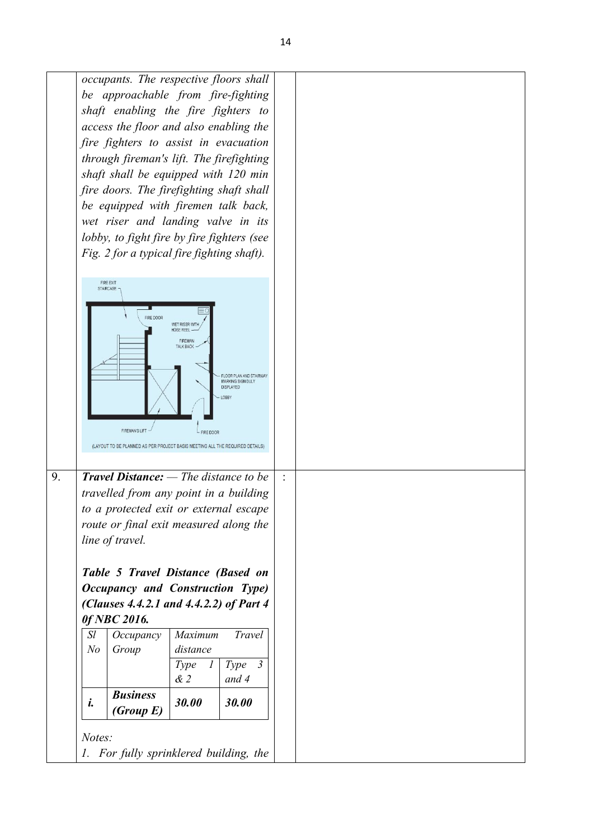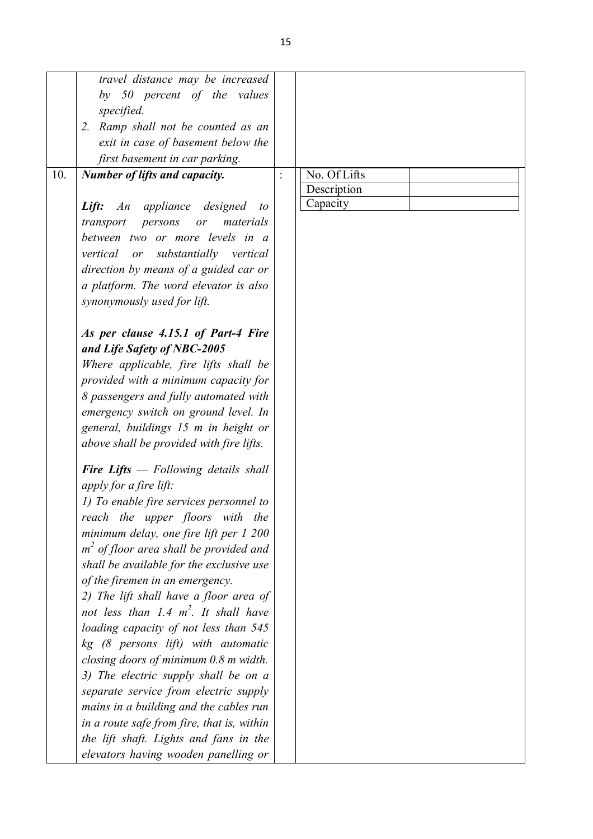|     | travel distance may be increased              |              |  |
|-----|-----------------------------------------------|--------------|--|
|     | by 50 percent of the values                   |              |  |
|     | specified.                                    |              |  |
|     | 2. Ramp shall not be counted as an            |              |  |
|     | exit in case of basement below the            |              |  |
|     | first basement in car parking.                |              |  |
| 10. | <b>Number of lifts and capacity.</b>          | No. Of Lifts |  |
|     |                                               | Description  |  |
|     | An appliance designed                         | Capacity     |  |
|     | Lift:<br>to                                   |              |  |
|     | transport<br>persons<br>materials<br>or       |              |  |
|     | between two or more levels in a               |              |  |
|     | vertical or substantially vertical            |              |  |
|     | direction by means of a guided car or         |              |  |
|     | a platform. The word elevator is also         |              |  |
|     | synonymously used for lift.                   |              |  |
|     |                                               |              |  |
|     | As per clause 4.15.1 of Part-4 Fire           |              |  |
|     | and Life Safety of NBC-2005                   |              |  |
|     | Where applicable, fire lifts shall be         |              |  |
|     | provided with a minimum capacity for          |              |  |
|     | 8 passengers and fully automated with         |              |  |
|     | emergency switch on ground level. In          |              |  |
|     | general, buildings 15 m in height or          |              |  |
|     | above shall be provided with fire lifts.      |              |  |
|     | <b>Fire Lifts</b> $-$ Following details shall |              |  |
|     |                                               |              |  |
|     | apply for a fire lift:                        |              |  |
|     | 1) To enable fire services personnel to       |              |  |
|     | reach the upper floors with the               |              |  |
|     | minimum delay, one fire lift per 1 200        |              |  |
|     | $m2$ of floor area shall be provided and      |              |  |
|     | shall be available for the exclusive use      |              |  |
|     | of the firemen in an emergency.               |              |  |
|     | 2) The lift shall have a floor area of        |              |  |
|     | not less than 1.4 $m^2$ . It shall have       |              |  |
|     | loading capacity of not less than 545         |              |  |
|     | kg (8 persons lift) with automatic            |              |  |
|     | closing doors of minimum 0.8 m width.         |              |  |
|     | 3) The electric supply shall be on a          |              |  |
|     | separate service from electric supply         |              |  |
|     | mains in a building and the cables run        |              |  |
|     | in a route safe from fire, that is, within    |              |  |
|     | the lift shaft. Lights and fans in the        |              |  |
|     | elevators having wooden panelling or          |              |  |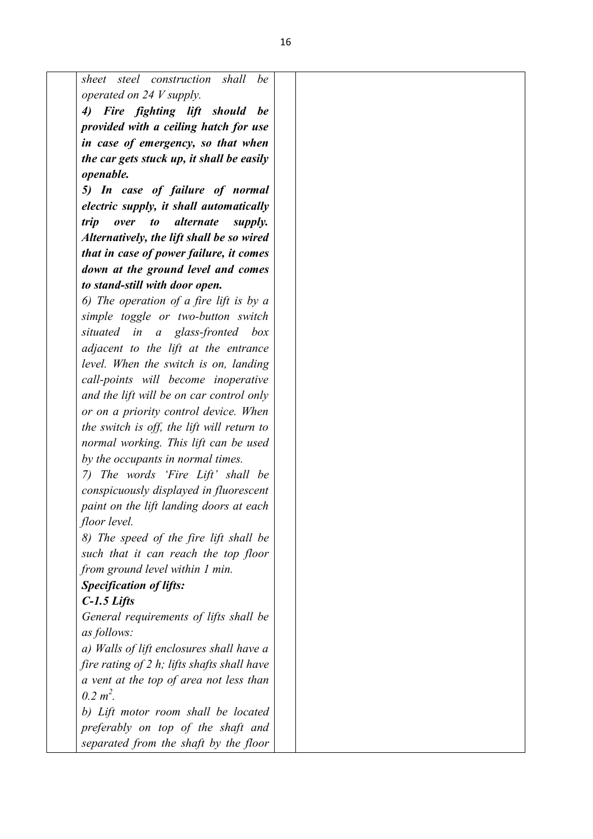*sheet steel construction shall be operated on 24 V supply.*

*4) Fire fighting lift should be provided with a ceiling hatch for use in case of emergency, so that when the car gets stuck up, it shall be easily openable.*

*5) In case of failure of normal electric supply, it shall automatically trip over to alternate supply. Alternatively, the lift shall be so wired that in case of power failure, it comes down at the ground level and comes to stand-still with door open.*

*6) The operation of a fire lift is by a simple toggle or two-button switch situated in a glass-fronted box adjacent to the lift at the entrance level. When the switch is on, landing call-points will become inoperative and the lift will be on car control only or on a priority control device. When the switch is off, the lift will return to normal working. This lift can be used by the occupants in normal times.*

*7) The words 'Fire Lift' shall be conspicuously displayed in fluorescent paint on the lift landing doors at each floor level.*

*8) The speed of the fire lift shall be such that it can reach the top floor from ground level within 1 min.*

## *Specification of lifts:*

#### *C-1.5 Lifts*

*General requirements of lifts shall be as follows:*

*a) Walls of lift enclosures shall have a fire rating of 2 h; lifts shafts shall have a vent at the top of area not less than 0.2 m<sup>2</sup> .*

*b) Lift motor room shall be located preferably on top of the shaft and separated from the shaft by the floor*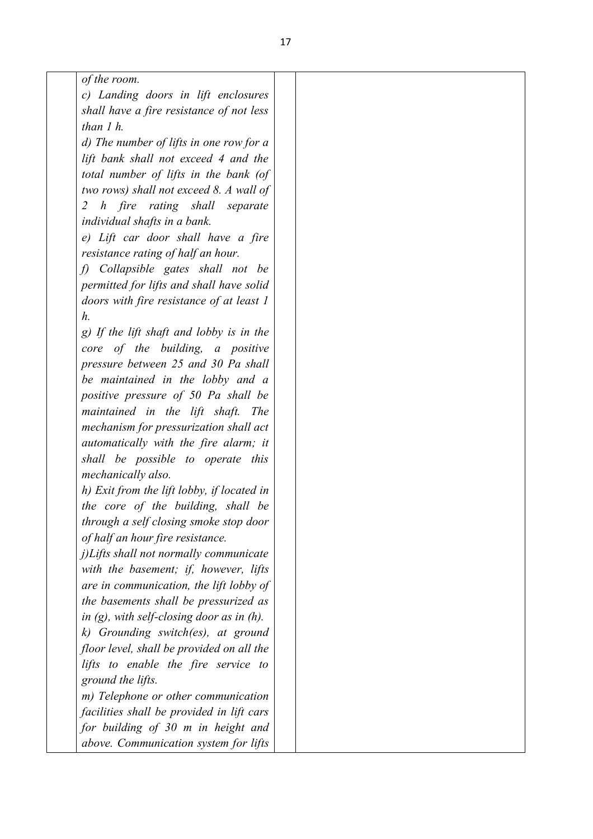| of the room. |  |
|--------------|--|
|--------------|--|

*c) Landing doors in lift enclosures shall have a fire resistance of not less than 1 h.*

*d) The number of lifts in one row for a lift bank shall not exceed 4 and the total number of lifts in the bank (of two rows) shall not exceed 8. A wall of 2 h fire rating shall separate individual shafts in a bank.* 

*e) Lift car door shall have a fire resistance rating of half an hour.*

*f) Collapsible gates shall not be permitted for lifts and shall have solid doors with fire resistance of at least 1 h.*

*g) If the lift shaft and lobby is in the core of the building, a positive pressure between 25 and 30 Pa shall be maintained in the lobby and a positive pressure of 50 Pa shall be maintained in the lift shaft. The mechanism for pressurization shall act automatically with the fire alarm; it shall be possible to operate this mechanically also.*

*h) Exit from the lift lobby, if located in the core of the building, shall be through a self closing smoke stop door of half an hour fire resistance.*

*j)Lifts shall not normally communicate with the basement; if, however, lifts are in communication, the lift lobby of the basements shall be pressurized as in (g), with self-closing door as in (h).*

*k) Grounding switch(es), at ground floor level, shall be provided on all the lifts to enable the fire service to ground the lifts.*

*m) Telephone or other communication facilities shall be provided in lift cars for building of 30 m in height and above. Communication system for lifts*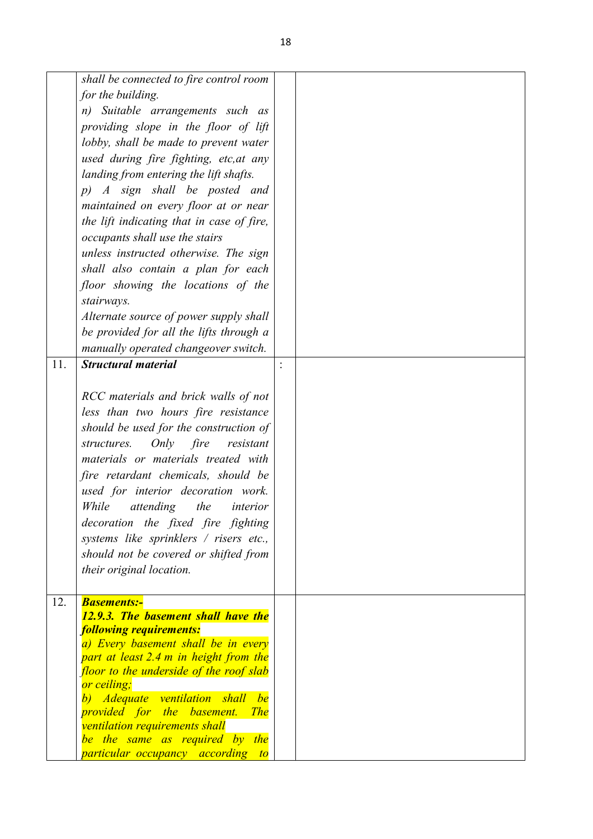|     | shall be connected to fire control room<br>for the building.<br>n) Suitable arrangements such as<br>providing slope in the floor of lift<br>lobby, shall be made to prevent water<br>used during fire fighting, etc, at any<br>landing from entering the lift shafts.<br>p) A sign shall be posted and<br>maintained on every floor at or near<br>the lift indicating that in case of fire,                                                                                      |  |
|-----|----------------------------------------------------------------------------------------------------------------------------------------------------------------------------------------------------------------------------------------------------------------------------------------------------------------------------------------------------------------------------------------------------------------------------------------------------------------------------------|--|
|     | occupants shall use the stairs<br>unless instructed otherwise. The sign<br>shall also contain a plan for each                                                                                                                                                                                                                                                                                                                                                                    |  |
|     | floor showing the locations of the<br>stairways.                                                                                                                                                                                                                                                                                                                                                                                                                                 |  |
|     | Alternate source of power supply shall<br>be provided for all the lifts through a                                                                                                                                                                                                                                                                                                                                                                                                |  |
|     | manually operated changeover switch.                                                                                                                                                                                                                                                                                                                                                                                                                                             |  |
| 11. | <b>Structural material</b>                                                                                                                                                                                                                                                                                                                                                                                                                                                       |  |
|     | RCC materials and brick walls of not<br>less than two hours fire resistance<br>should be used for the construction of<br>Only fire<br>structures.<br>resistant<br>materials or materials treated with<br>fire retardant chemicals, should be<br>used for interior decoration work.<br>While<br>attending<br>the<br>interior<br>decoration the fixed fire fighting<br>systems like sprinklers / risers etc.,<br>should not be covered or shifted from<br>their original location. |  |
| 12. | <b>Basements:-</b><br>12.9.3. The basement shall have the<br><b>following requirements:</b><br>a) Every basement shall be in every<br>part at least 2.4 m in height from the<br>floor to the underside of the roof slab<br>or ceiling;<br>b) Adequate ventilation shall be<br><i>provided for the basement.</i><br><i>The</i><br>ventilation requirements shall<br>be the same as required by the<br><i>particular occupancy according to</i>                                    |  |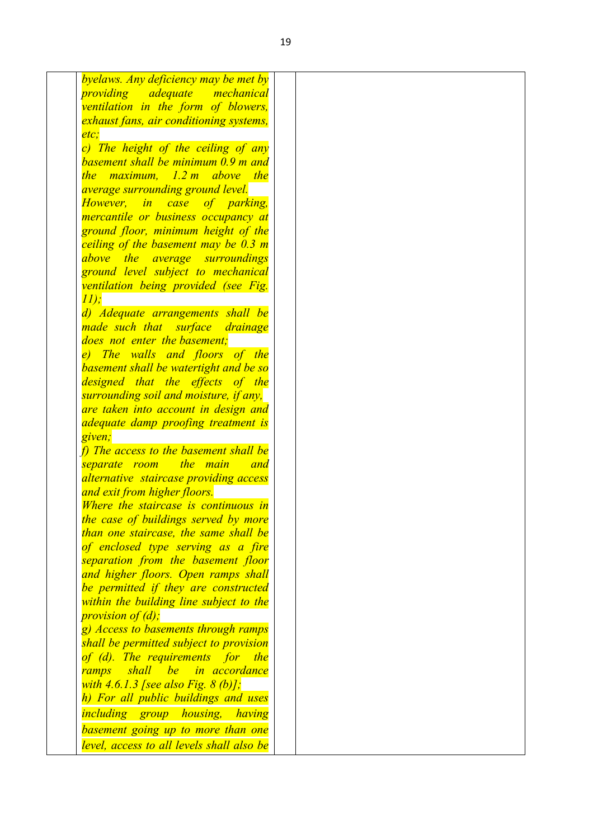| byelaws. Any deficiency may be met by      |  |
|--------------------------------------------|--|
| <i>providing</i><br>adequate<br>mechanical |  |
| ventilation in the form of blowers,        |  |
| exhaust fans, air conditioning systems,    |  |
| etc.                                       |  |
| c) The height of the ceiling of any        |  |
| basement shall be minimum 0.9 m and        |  |
| the maximum, 1.2 m above the               |  |
| <i>average surrounding ground level.</i>   |  |
| However, in case of parking,               |  |
| mercantile or business occupancy at        |  |
| ground floor, minimum height of the        |  |
| ceiling of the basement may be 0.3 m       |  |
| above the average surroundings             |  |
| ground level subject to mechanical         |  |
| ventilation being provided (see Fig.       |  |
| 11);                                       |  |
| d) Adequate arrangements shall be          |  |
| made such that surface<br>drainage         |  |
| does not enter the basement;               |  |
| e) The walls and floors of the             |  |
| basement shall be watertight and be so     |  |
| designed that the effects of the           |  |
| surrounding soil and moisture, if any,     |  |
| are taken into account in design and       |  |
| adequate damp proofing treatment is        |  |
| given;                                     |  |
| f) The access to the basement shall be     |  |
| separate room<br>the main<br>and           |  |
| alternative staircase providing access     |  |
| and exit from higher floors.               |  |
| Where the staircase is continuous in       |  |
| the case of buildings served by more       |  |
| than one staircase, the same shall be      |  |
| of enclosed type serving as a fire         |  |
| separation from the basement floor         |  |
| and higher floors. Open ramps shall        |  |
| be permitted if they are constructed       |  |
| within the building line subject to the    |  |
| <i>provision of (d);</i>                   |  |
| g) Access to basements through ramps       |  |
| shall be permitted subject to provision    |  |
| of (d). The requirements for the           |  |
| shall be in accordance<br>ramps            |  |
| with $4.6.1.3$ [see also Fig. $8$ (b)];    |  |
| h) For all public buildings and uses       |  |
|                                            |  |
| <i>including group housing,</i><br>having  |  |
| basement going up to more than one         |  |
| level, access to all levels shall also be  |  |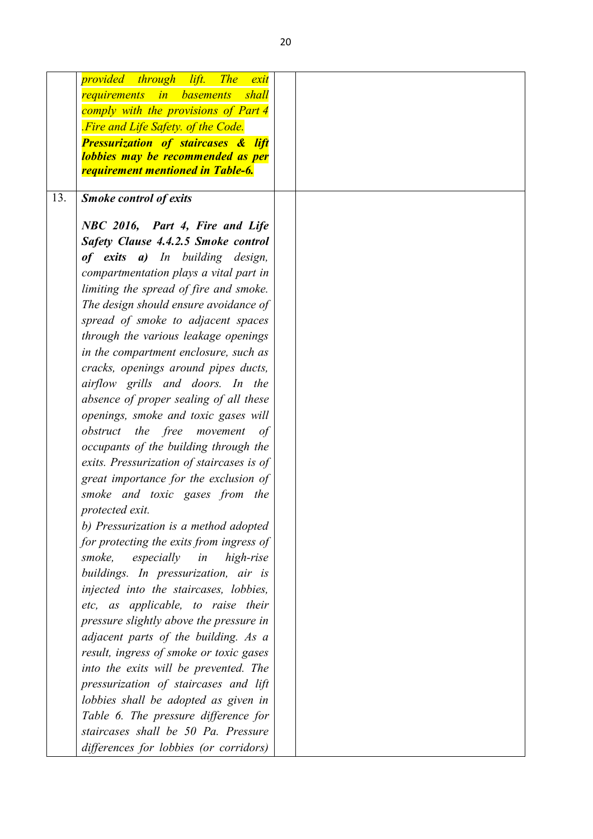|     | provided through<br>lift.<br><b>The</b><br>exit |  |
|-----|-------------------------------------------------|--|
|     | shall<br>requirements<br><i>in</i> basements    |  |
|     | comply with the provisions of Part 4            |  |
|     | Fire and Life Safety. of the Code.              |  |
|     | <b>Pressurization of staircases &amp; lift</b>  |  |
|     | lobbies may be recommended as per               |  |
|     | requirement mentioned in Table-6.               |  |
| 13. | <b>Smoke control of exits</b>                   |  |
|     |                                                 |  |
|     | NBC 2016, Part 4, Fire and Life                 |  |
|     | Safety Clause 4.4.2.5 Smoke control             |  |
|     | of exits a) In building design,                 |  |
|     | compartmentation plays a vital part in          |  |
|     | limiting the spread of fire and smoke.          |  |
|     | The design should ensure avoidance of           |  |
|     | spread of smoke to adjacent spaces              |  |
|     | through the various leakage openings            |  |
|     | in the compartment enclosure, such as           |  |
|     | cracks, openings around pipes ducts,            |  |
|     | airflow grills and doors. In the                |  |
|     | absence of proper sealing of all these          |  |
|     | openings, smoke and toxic gases will            |  |
|     | obstruct the free movement<br>of                |  |
|     | occupants of the building through the           |  |
|     | exits. Pressurization of staircases is of       |  |
|     | great importance for the exclusion of           |  |
|     | smoke and toxic gases from the                  |  |
|     | protected exit.                                 |  |
|     | b) Pressurization is a method adopted           |  |
|     | for protecting the exits from ingress of        |  |
|     | smoke,<br>especially in<br>high-rise            |  |
|     | buildings. In pressurization, air is            |  |
|     | injected into the staircases, lobbies,          |  |
|     | etc, as applicable, to raise their              |  |
|     | pressure slightly above the pressure in         |  |
|     | adjacent parts of the building. As a            |  |
|     | result, ingress of smoke or toxic gases         |  |
|     | into the exits will be prevented. The           |  |
|     | pressurization of staircases and lift           |  |
|     | lobbies shall be adopted as given in            |  |
|     | Table 6. The pressure difference for            |  |
|     | staircases shall be 50 Pa. Pressure             |  |
|     | differences for lobbies (or corridors)          |  |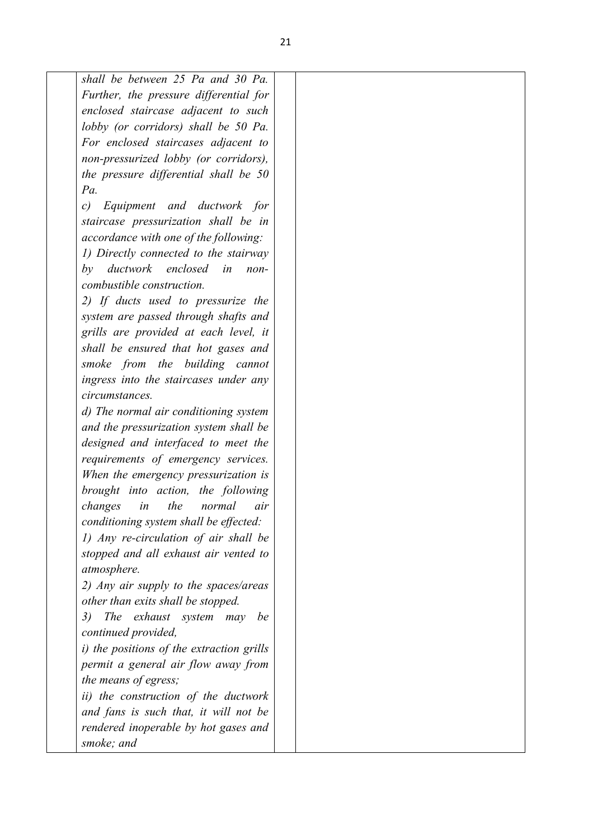*shall be between 25 Pa and 30 Pa. Further, the pressure differential for enclosed staircase adjacent to such lobby (or corridors) shall be 50 Pa. For enclosed staircases adjacent to non-pressurized lobby (or corridors), the pressure differential shall be 50 Pa. c) Equipment and ductwork for staircase pressurization shall be in accordance with one of the following: 1) Directly connected to the stairway by ductwork enclosed in noncombustible construction. 2) If ducts used to pressurize the system are passed through shafts and grills are provided at each level, it shall be ensured that hot gases and smoke from the building cannot ingress into the staircases under any circumstances. d) The normal air conditioning system and the pressurization system shall be designed and interfaced to meet the requirements of emergency services. When the emergency pressurization is brought into action, the following changes in the normal air conditioning system shall be effected: 1) Any re-circulation of air shall be stopped and all exhaust air vented to atmosphere. 2) Any air supply to the spaces/areas other than exits shall be stopped. 3) The exhaust system may be continued provided, i) the positions of the extraction grills permit a general air flow away from* 

*ii) the construction of the ductwork and fans is such that, it will not be rendered inoperable by hot gases and smoke; and* 

*the means of egress;*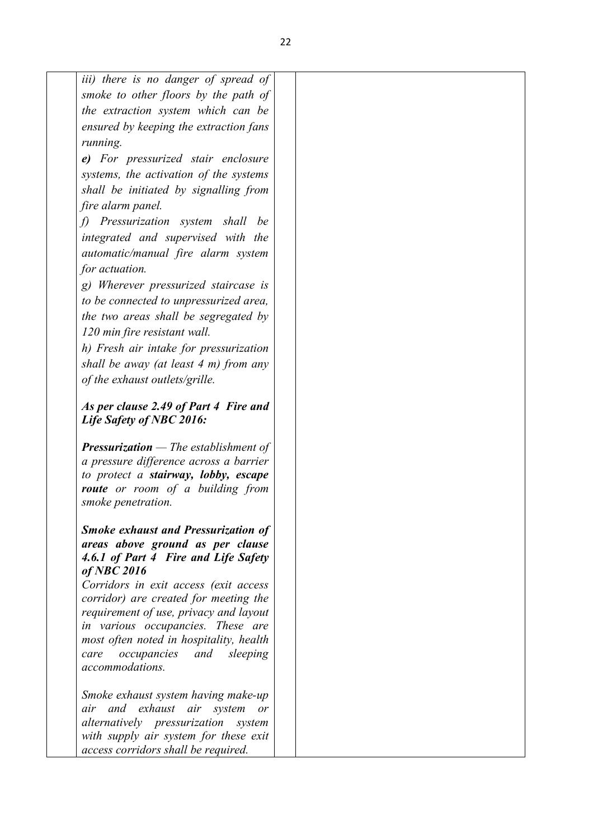|                                | iii) there is no danger of spread of                                            |  |
|--------------------------------|---------------------------------------------------------------------------------|--|
|                                | smoke to other floors by the path of                                            |  |
|                                | the extraction system which can be                                              |  |
|                                | ensured by keeping the extraction fans                                          |  |
| running.                       |                                                                                 |  |
|                                | e) For pressurized stair enclosure                                              |  |
|                                | systems, the activation of the systems                                          |  |
|                                | shall be initiated by signalling from                                           |  |
| fire alarm panel.              |                                                                                 |  |
|                                | f) Pressurization system shall be                                               |  |
|                                | integrated and supervised with the                                              |  |
|                                | automatic/manual fire alarm system                                              |  |
| for actuation.                 |                                                                                 |  |
|                                | g) Wherever pressurized staircase is                                            |  |
|                                | to be connected to unpressurized area,                                          |  |
|                                | the two areas shall be segregated by                                            |  |
| 120 min fire resistant wall.   |                                                                                 |  |
|                                | h) Fresh air intake for pressurization                                          |  |
|                                | shall be away (at least $4$ m) from any                                         |  |
| of the exhaust outlets/grille. |                                                                                 |  |
|                                |                                                                                 |  |
|                                | As per clause 2.49 of Part 4 Fire and                                           |  |
| Life Safety of NBC 2016:       |                                                                                 |  |
|                                |                                                                                 |  |
|                                | <b>Pressurization</b> $-$ The establishment of                                  |  |
|                                | a pressure difference across a barrier                                          |  |
|                                | to protect a stairway, lobby, escape<br><b>route</b> or room of a building from |  |
| smoke penetration.             |                                                                                 |  |
|                                |                                                                                 |  |
|                                | <b>Smoke exhaust and Pressurization of</b>                                      |  |
|                                | areas above ground as per clause                                                |  |
|                                | 4.6.1 of Part 4 Fire and Life Safety                                            |  |
| $of$ NBC $2016$                |                                                                                 |  |
|                                | Corridors in exit access (exit access                                           |  |
|                                | corridor) are created for meeting the<br>requirement of use, privacy and layout |  |
|                                | in various occupancies. These are                                               |  |
|                                | most often noted in hospitality, health                                         |  |
| care                           | occupancies and sleeping                                                        |  |
| accommodations.                |                                                                                 |  |
|                                |                                                                                 |  |
|                                | Smoke exhaust system having make-up<br>air and exhaust air system               |  |
|                                | or<br>alternatively pressurization<br>system                                    |  |
|                                | with supply air system for these exit                                           |  |
|                                | access corridors shall be required.                                             |  |
|                                |                                                                                 |  |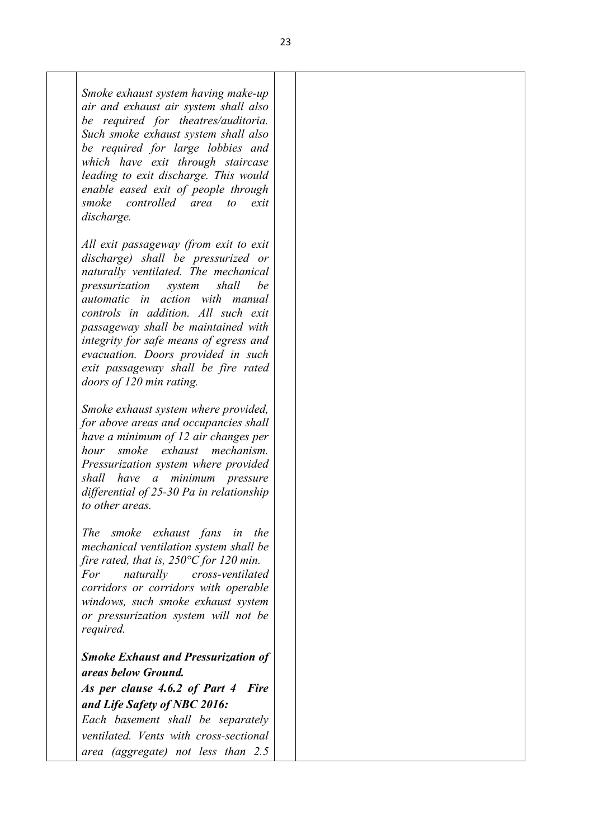*Smoke exhaust system having make-up air and exhaust air system shall also be required for theatres/auditoria. Such smoke exhaust system shall also be required for large lobbies and which have exit through staircase leading to exit discharge. This would enable eased exit of people through smoke controlled area to exit discharge.* 

*All exit passageway (from exit to exit discharge) shall be pressurized or naturally ventilated. The mechanical pressurization system shall be automatic in action with manual controls in addition. All such exit passageway shall be maintained with integrity for safe means of egress and evacuation. Doors provided in such exit passageway shall be fire rated doors of 120 min rating.* 

*Smoke exhaust system where provided, for above areas and occupancies shall have a minimum of 12 air changes per hour smoke exhaust mechanism. Pressurization system where provided shall have a minimum pressure differential of 25-30 Pa in relationship to other areas.* 

*The smoke exhaust fans in the mechanical ventilation system shall be fire rated, that is, 250°C for 120 min. For naturally cross-ventilated corridors or corridors with operable windows, such smoke exhaust system or pressurization system will not be required.*

## *Smoke Exhaust and Pressurization of areas below Ground.*

*As per clause 4.6.2 of Part 4 Fire and Life Safety of NBC 2016:* 

*Each basement shall be separately ventilated. Vents with cross-sectional area (aggregate) not less than 2.5*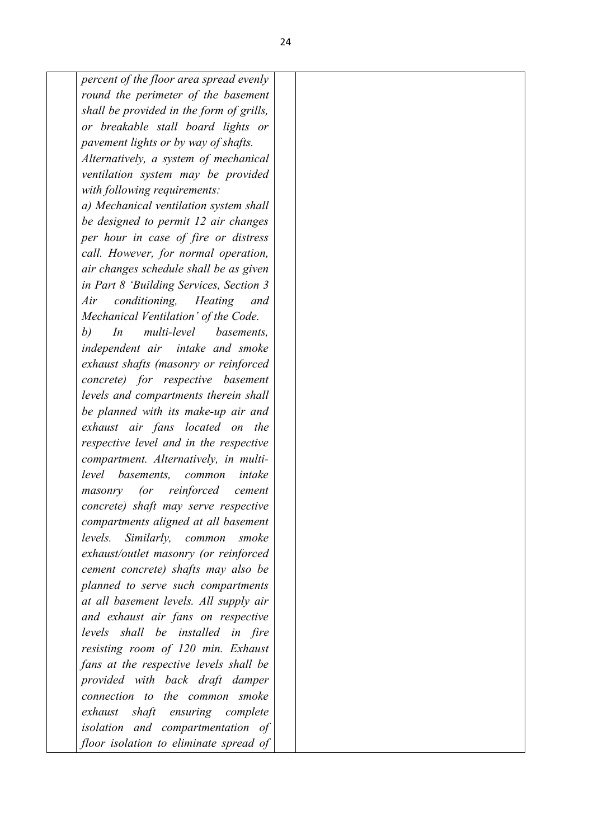*percent of the floor area spread evenly round the perimeter of the basement shall be provided in the form of grills, or breakable stall board lights or pavement lights or by way of shafts. Alternatively, a system of mechanical ventilation system may be provided with following requirements: a) Mechanical ventilation system shall be designed to permit 12 air changes per hour in case of fire or distress call. However, for normal operation, air changes schedule shall be as given in Part 8 'Building Services, Section 3 Air conditioning, Heating and Mechanical Ventilation' of the Code. b) In multi-level basements, independent air intake and smoke exhaust shafts (masonry or reinforced concrete) for respective basement levels and compartments therein shall be planned with its make-up air and exhaust air fans located on the respective level and in the respective compartment. Alternatively, in multilevel basements, common intake masonry (or reinforced cement concrete) shaft may serve respective compartments aligned at all basement levels. Similarly, common smoke exhaust/outlet masonry (or reinforced cement concrete) shafts may also be planned to serve such compartments at all basement levels. All supply air and exhaust air fans on respective levels shall be installed in fire resisting room of 120 min. Exhaust fans at the respective levels shall be provided with back draft damper connection to the common smoke exhaust shaft ensuring complete isolation and compartmentation of floor isolation to eliminate spread of*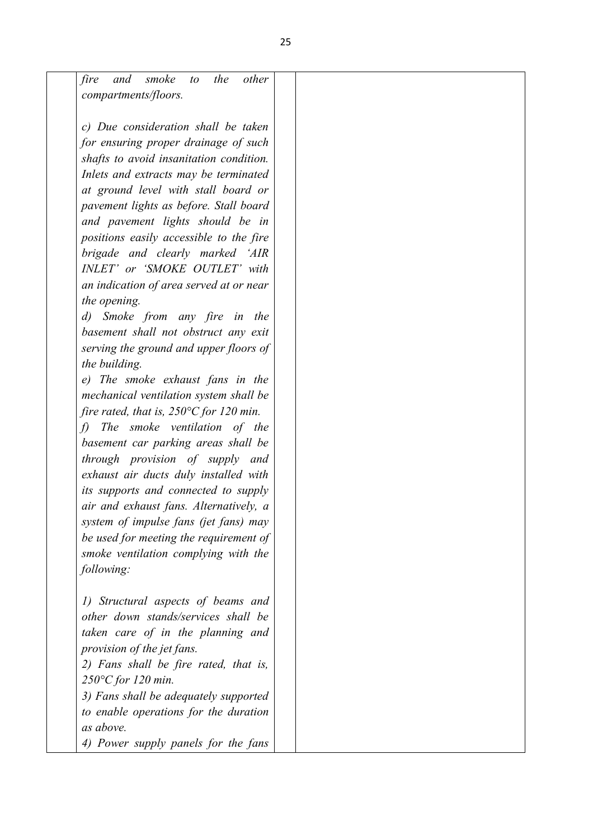| fire              | smoke<br>the<br>other<br>and<br>to                |
|-------------------|---------------------------------------------------|
|                   | compartments/floors.                              |
|                   |                                                   |
|                   | c) Due consideration shall be taken               |
|                   | for ensuring proper drainage of such              |
|                   | shafts to avoid insanitation condition.           |
|                   | Inlets and extracts may be terminated             |
|                   | at ground level with stall board or               |
|                   | pavement lights as before. Stall board            |
|                   | and pavement lights should be in                  |
|                   | positions easily accessible to the fire           |
|                   | brigade and clearly marked 'AIR                   |
|                   | INLET' or 'SMOKE OUTLET' with                     |
|                   | an indication of area served at or near           |
|                   | the opening.                                      |
| $\left( d\right)$ | Smoke from any fire in the                        |
|                   | basement shall not obstruct any exit              |
|                   | serving the ground and upper floors of            |
|                   | the building.                                     |
|                   | e) The smoke exhaust fans in the                  |
|                   | mechanical ventilation system shall be            |
|                   | fire rated, that is, $250^{\circ}$ C for 120 min. |
| f                 | The smoke ventilation of the                      |
|                   | basement car parking areas shall be               |
|                   | through provision of supply and                   |
|                   | exhaust air ducts duly installed with             |
|                   | its supports and connected to supply              |
|                   | air and exhaust fans. Alternatively, a            |
|                   | system of impulse fans (jet fans) may             |
|                   | be used for meeting the requirement of            |
|                   | smoke ventilation complying with the              |
|                   | following:                                        |
|                   |                                                   |
| $\iota$           | Structural aspects of beams and                   |
|                   | other down stands/services shall be               |
|                   | taken care of in the planning and                 |
|                   | provision of the jet fans.                        |
|                   | 2) Fans shall be fire rated, that is,             |
|                   | $250^{\circ}$ C for 120 min.                      |
|                   | 3) Fans shall be adequately supported             |
|                   | to enable operations for the duration             |
|                   | as above.                                         |
|                   | 4) Power supply panels for the fans               |
|                   |                                                   |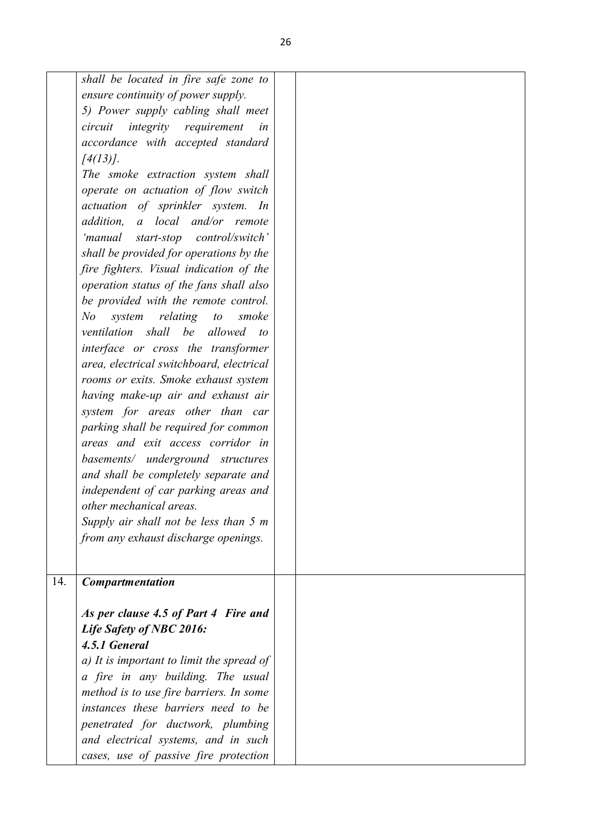|     | shall be located in fire safe zone to          |  |
|-----|------------------------------------------------|--|
|     | ensure continuity of power supply.             |  |
|     | 5) Power supply cabling shall meet             |  |
|     | <i>integrity requirement</i><br>circuit<br>in  |  |
|     | accordance with accepted standard              |  |
|     | $[4(13)]$ .                                    |  |
|     | The smoke extraction system shall              |  |
|     | operate on actuation of flow switch            |  |
|     | actuation of sprinkler system. In              |  |
|     | addition, a local and/or remote                |  |
|     | 'manual start-stop control/switch'             |  |
|     | shall be provided for operations by the        |  |
|     | fire fighters. Visual indication of the        |  |
|     | operation status of the fans shall also        |  |
|     | be provided with the remote control.           |  |
|     | N o<br>system<br>relating to<br>smoke          |  |
|     | ventilation shall be allowed<br>$\overline{t}$ |  |
|     | interface or cross the transformer             |  |
|     | area, electrical switchboard, electrical       |  |
|     | rooms or exits. Smoke exhaust system           |  |
|     |                                                |  |
|     | having make-up air and exhaust air             |  |
|     | system for areas other than car                |  |
|     | parking shall be required for common           |  |
|     | areas and exit access corridor in              |  |
|     | basements/ underground structures              |  |
|     | and shall be completely separate and           |  |
|     | independent of car parking areas and           |  |
|     | other mechanical areas.                        |  |
|     | Supply air shall not be less than 5 m          |  |
|     | from any exhaust discharge openings.           |  |
|     |                                                |  |
|     |                                                |  |
| 14. | <b>Compartmentation</b>                        |  |
|     | As per clause 4.5 of Part 4 Fire and           |  |
|     | Life Safety of NBC 2016:                       |  |
|     | 4.5.1 General                                  |  |
|     |                                                |  |
|     | a) It is important to limit the spread of      |  |
|     | a fire in any building. The usual              |  |
|     | method is to use fire barriers. In some        |  |
|     | instances these barriers need to be            |  |
|     | penetrated for ductwork, plumbing              |  |
|     | and electrical systems, and in such            |  |
|     | cases, use of passive fire protection          |  |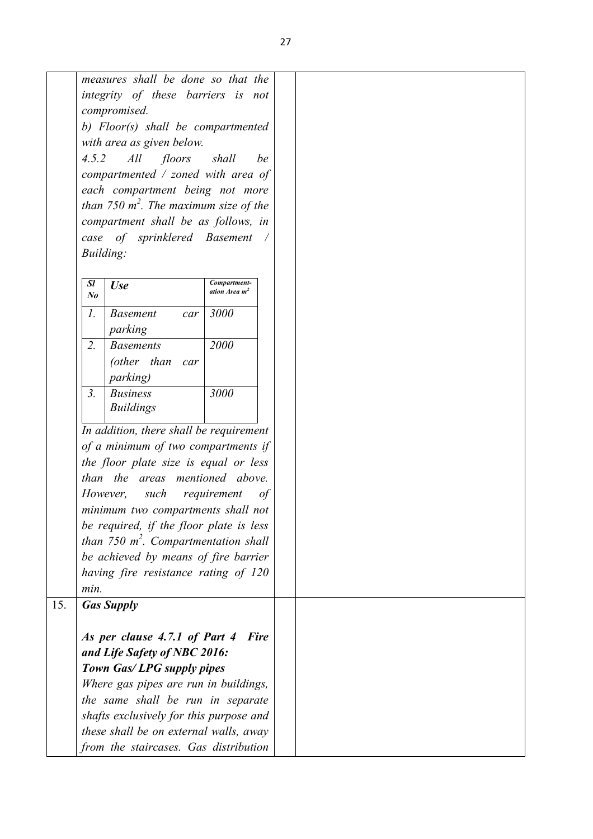|     | measures shall be done so that the                |  |
|-----|---------------------------------------------------|--|
|     | integrity of these barriers is not                |  |
|     | compromised.                                      |  |
|     | b) Floor(s) shall be compartmented                |  |
|     | with area as given below.                         |  |
|     | 4.5.2<br>All<br>floors<br>shall<br>be             |  |
|     | compartmented $/$ zoned with area of              |  |
|     | each compartment being not more                   |  |
|     | than 750 $m^2$ . The maximum size of the          |  |
|     | compartment shall be as follows, in               |  |
|     | case of sprinklered Basement                      |  |
|     | Building:                                         |  |
|     |                                                   |  |
|     | Compartment-<br>Sl<br><b>Use</b>                  |  |
|     | ation Area m <sup>2</sup><br>N <sub>o</sub>       |  |
|     | $\mathcal{I}$ .<br>3000<br><b>Basement</b><br>car |  |
|     | parking                                           |  |
|     | $\overline{2}$ .<br>2000<br><b>Basements</b>      |  |
|     | (other than<br>car                                |  |
|     | <i>parking</i> )                                  |  |
|     | 3 <sub>1</sub><br>3000<br><b>Business</b>         |  |
|     | <b>Buildings</b>                                  |  |
|     |                                                   |  |
|     | In addition, there shall be requirement           |  |
|     | of a minimum of two compartments if               |  |
|     | the floor plate size is equal or less             |  |
|     | than the areas mentioned above.                   |  |
|     | However,<br>requirement<br>such<br>0f             |  |
|     | minimum two compartments shall not                |  |
|     | be required, if the floor plate is less           |  |
|     | than 750 $m^2$ . Compartmentation shall           |  |
|     | be achieved by means of fire barrier              |  |
|     | having fire resistance rating of 120              |  |
|     | min.                                              |  |
| 15. | <b>Gas Supply</b>                                 |  |
|     |                                                   |  |
|     | As per clause 4.7.1 of Part 4<br><b>Fire</b>      |  |
|     | and Life Safety of NBC 2016:                      |  |
|     | Town Gas/LPG supply pipes                         |  |
|     | Where gas pipes are run in buildings,             |  |
|     | the same shall be run in separate                 |  |
|     | shafts exclusively for this purpose and           |  |
|     | these shall be on external walls, away            |  |
|     | from the staircases. Gas distribution             |  |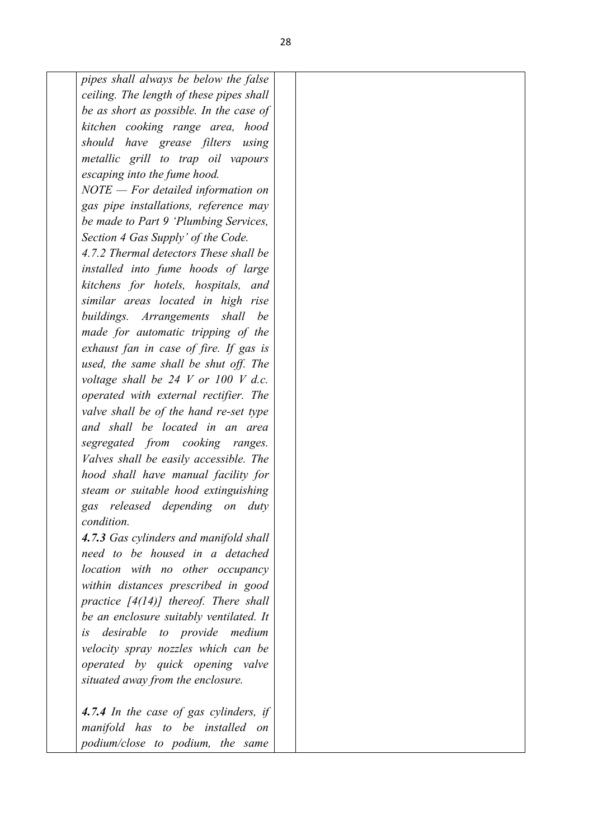*pipes shall always be below the false ceiling. The length of these pipes shall be as short as possible. In the case of kitchen cooking range area, hood should have grease filters using metallic grill to trap oil vapours escaping into the fume hood. NOTE — For detailed information on gas pipe installations, reference may be made to Part 9 'Plumbing Services, Section 4 Gas Supply' of the Code. 4.7.2 Thermal detectors These shall be installed into fume hoods of large kitchens for hotels, hospitals, and similar areas located in high rise buildings. Arrangements shall be made for automatic tripping of the exhaust fan in case of fire. If gas is used, the same shall be shut off. The voltage shall be 24 V or 100 V d.c. operated with external rectifier. The valve shall be of the hand re-set type and shall be located in an area segregated from cooking ranges. Valves shall be easily accessible. The hood shall have manual facility for steam or suitable hood extinguishing gas released depending on duty condition. 4.7.3 Gas cylinders and manifold shall need to be housed in a detached location with no other occupancy within distances prescribed in good practice [4(14)] thereof. There shall be an enclosure suitably ventilated. It is desirable to provide medium velocity spray nozzles which can be operated by quick opening valve situated away from the enclosure.* 

*4.7.4 In the case of gas cylinders, if manifold has to be installed on podium/close to podium, the same*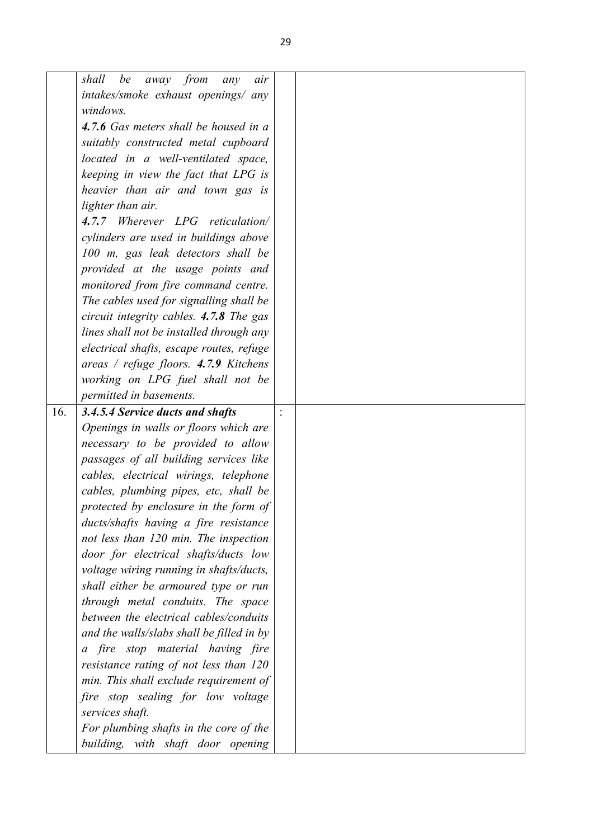|     | away from<br>shall<br>be<br>air<br>any                                          |  |
|-----|---------------------------------------------------------------------------------|--|
|     | intakes/smoke exhaust openings/ any                                             |  |
|     | windows.                                                                        |  |
|     | 4.7.6 Gas meters shall be housed in a                                           |  |
|     | suitably constructed metal cupboard                                             |  |
|     | located in a well-ventilated space,                                             |  |
|     | keeping in view the fact that LPG is                                            |  |
|     | heavier than air and town gas is                                                |  |
|     | lighter than air.                                                               |  |
|     | 4.7.7 Wherever LPG reticulation/                                                |  |
|     | cylinders are used in buildings above                                           |  |
|     | 100 m, gas leak detectors shall be                                              |  |
|     | provided at the usage points and                                                |  |
|     | monitored from fire command centre.                                             |  |
|     | The cables used for signalling shall be                                         |  |
|     | circuit integrity cables. 4.7.8 The gas                                         |  |
|     | lines shall not be installed through any                                        |  |
|     | electrical shafts, escape routes, refuge                                        |  |
|     | areas / refuge floors. 4.7.9 Kitchens                                           |  |
|     | working on LPG fuel shall not be                                                |  |
|     | permitted in basements.                                                         |  |
| 16. | 3.4.5.4 Service ducts and shafts                                                |  |
|     | Openings in walls or floors which are                                           |  |
|     | necessary to be provided to allow                                               |  |
|     | passages of all building services like                                          |  |
|     | cables, electrical wirings, telephone                                           |  |
|     | cables, plumbing pipes, etc, shall be                                           |  |
|     | protected by enclosure in the form of                                           |  |
|     | ducts/shafts having a fire resistance                                           |  |
|     | not less than 120 min. The inspection                                           |  |
|     |                                                                                 |  |
|     | door for electrical shafts/ducts low                                            |  |
|     | voltage wiring running in shafts/ducts,<br>shall either be armoured type or run |  |
|     |                                                                                 |  |
|     | through metal conduits. The space                                               |  |
|     | between the electrical cables/conduits                                          |  |
|     | and the walls/slabs shall be filled in by                                       |  |
|     | a fire stop material having fire                                                |  |
|     | resistance rating of not less than 120                                          |  |
|     | min. This shall exclude requirement of                                          |  |
|     | fire stop sealing for low voltage                                               |  |
|     | services shaft.                                                                 |  |
|     | For plumbing shafts in the core of the                                          |  |
|     | building, with shaft door opening                                               |  |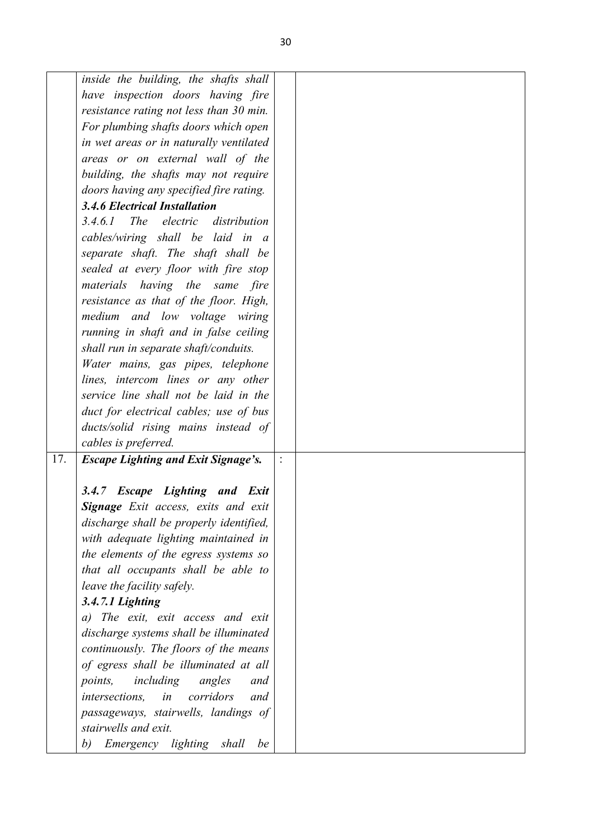|     | inside the building, the shafts shall      |  |
|-----|--------------------------------------------|--|
|     | have inspection doors having fire          |  |
|     | resistance rating not less than 30 min.    |  |
|     |                                            |  |
|     | For plumbing shafts doors which open       |  |
|     | in wet areas or in naturally ventilated    |  |
|     | areas or on external wall of the           |  |
|     | building, the shafts may not require       |  |
|     | doors having any specified fire rating.    |  |
|     | <b>3.4.6 Electrical Installation</b>       |  |
|     | 3.4.6.1 The electric distribution          |  |
|     | cables/wiring shall be laid in a           |  |
|     | separate shaft. The shaft shall be         |  |
|     | sealed at every floor with fire stop       |  |
|     | materials having the same fire             |  |
|     | resistance as that of the floor. High,     |  |
|     | medium and low voltage wiring              |  |
|     | running in shaft and in false ceiling      |  |
|     | shall run in separate shaft/conduits.      |  |
|     | Water mains, gas pipes, telephone          |  |
|     | lines, intercom lines or any other         |  |
|     | service line shall not be laid in the      |  |
|     | duct for electrical cables; use of bus     |  |
|     | ducts/solid rising mains instead of        |  |
|     | cables is preferred.                       |  |
| 17. | <b>Escape Lighting and Exit Signage's.</b> |  |
|     |                                            |  |
|     | 3.4.7 Escape Lighting and Exit             |  |
|     | Signage Exit access, exits and exit        |  |
|     | discharge shall be properly identified,    |  |
|     | with adequate lighting maintained in       |  |
|     | the elements of the egress systems so      |  |
|     | that all occupants shall be able to        |  |
|     | leave the facility safely.                 |  |
|     | 3.4.7.1 Lighting                           |  |
|     | a) The exit, exit access and exit          |  |
|     | discharge systems shall be illuminated     |  |
|     | continuously. The floors of the means      |  |
|     | of egress shall be illuminated at all      |  |
|     | points,<br>including<br>angles<br>and      |  |
|     | corridors<br>in<br>intersections,<br>and   |  |
|     | passageways, stairwells, landings of       |  |
|     | stairwells and exit.                       |  |
|     | Emergency lighting<br>b)<br>shall<br>be    |  |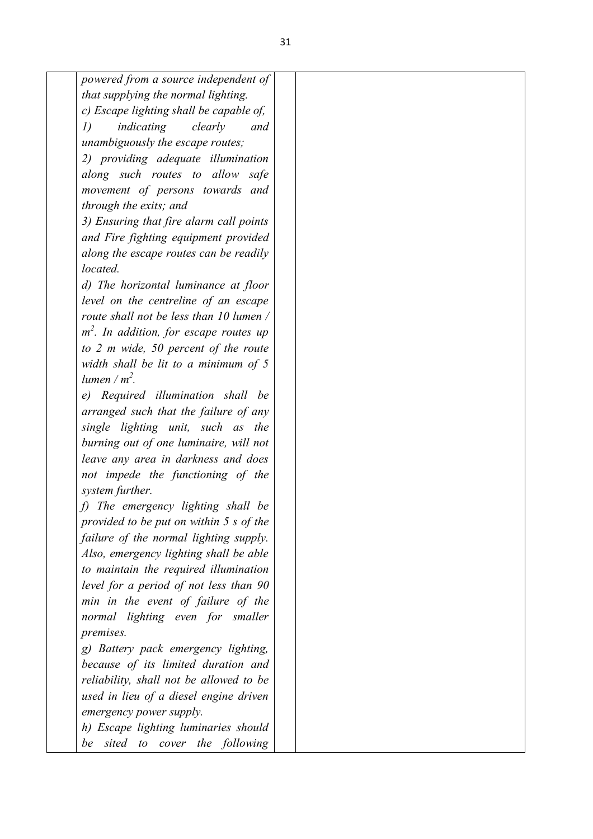| powered from a source independent of      |  |  |
|-------------------------------------------|--|--|
| that supplying the normal lighting.       |  |  |
| c) Escape lighting shall be capable of,   |  |  |
| I)<br>indicating<br>clearly<br>and        |  |  |
| unambiguously the escape routes;          |  |  |
| 2) providing adequate illumination        |  |  |
| along such routes to allow safe           |  |  |
| movement of persons towards and           |  |  |
| through the exits; and                    |  |  |
| 3) Ensuring that fire alarm call points   |  |  |
| and Fire fighting equipment provided      |  |  |
| along the escape routes can be readily    |  |  |
| located.                                  |  |  |
| d) The horizontal luminance at floor      |  |  |
| level on the centreline of an escape      |  |  |
| route shall not be less than 10 lumen /   |  |  |
| $m2$ . In addition, for escape routes up  |  |  |
| to $2$ m wide, $50$ percent of the route  |  |  |
| width shall be lit to a minimum of $5$    |  |  |
| lumen / $m^2$ .                           |  |  |
| e) Required illumination shall be         |  |  |
| arranged such that the failure of any     |  |  |
| single lighting unit, such as the         |  |  |
| burning out of one luminaire, will not    |  |  |
| leave any area in darkness and does       |  |  |
| not impede the functioning of the         |  |  |
| system further.                           |  |  |
| f) The emergency lighting shall be        |  |  |
| provided to be put on within $5 s of the$ |  |  |
| failure of the normal lighting supply.    |  |  |
| Also, emergency lighting shall be able    |  |  |
| to maintain the required illumination     |  |  |
| level for a period of not less than 90    |  |  |
| min in the event of failure of the        |  |  |
| normal lighting even for smaller          |  |  |
| premises.                                 |  |  |
| g) Battery pack emergency lighting,       |  |  |
| because of its limited duration and       |  |  |
| reliability, shall not be allowed to be   |  |  |
| used in lieu of a diesel engine driven    |  |  |
| emergency power supply.                   |  |  |
| h) Escape lighting luminaries should      |  |  |
| sited to cover the following<br>be        |  |  |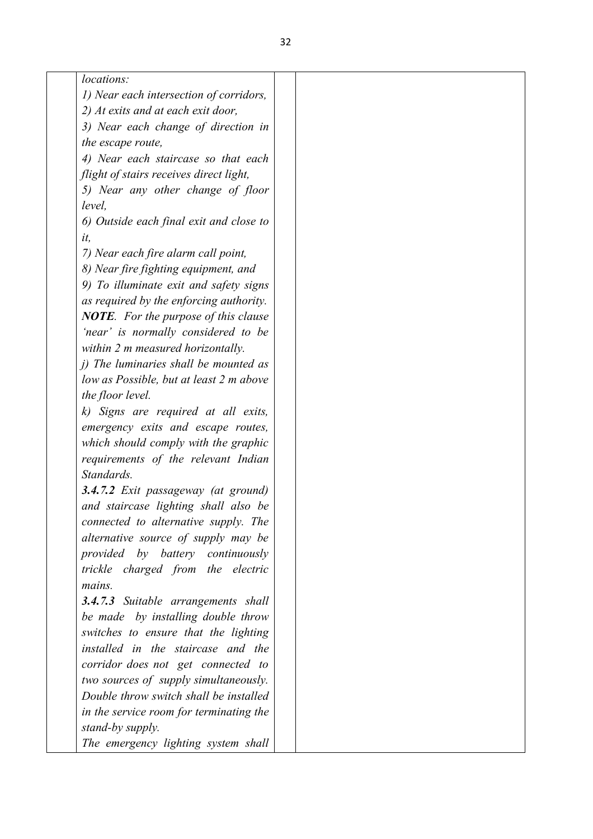| locations:                                  |  |
|---------------------------------------------|--|
| 1) Near each intersection of corridors,     |  |
| 2) At exits and at each exit door,          |  |
| 3) Near each change of direction in         |  |
| the escape route,                           |  |
| 4) Near each staircase so that each         |  |
| flight of stairs receives direct light,     |  |
| 5) Near any other change of floor           |  |
| level.                                      |  |
| 6) Outside each final exit and close to     |  |
| it,                                         |  |
| 7) Near each fire alarm call point,         |  |
| 8) Near fire fighting equipment, and        |  |
| 9) To illuminate exit and safety signs      |  |
| as required by the enforcing authority.     |  |
| <b>NOTE.</b> For the purpose of this clause |  |
| 'near' is normally considered to be         |  |
| within 2 m measured horizontally.           |  |
| $i)$ The luminaries shall be mounted as     |  |
| low as Possible, but at least 2 m above     |  |
| the floor level.                            |  |
| k) Signs are required at all exits,         |  |
| emergency exits and escape routes,          |  |
|                                             |  |
| which should comply with the graphic        |  |
| requirements of the relevant Indian         |  |
| Standards.                                  |  |
| 3.4.7.2 Exit passageway (at ground)         |  |
| and staircase lighting shall also be        |  |
| connected to alternative supply. The        |  |
| alternative source of supply may be         |  |
| provided by battery continuously            |  |
| trickle charged from the electric           |  |
| mains.                                      |  |
| <b>3.4.7.3</b> Suitable arrangements shall  |  |
| be made by installing double throw          |  |
| switches to ensure that the lighting        |  |
| installed in the staircase and the          |  |
| corridor does not get connected to          |  |
| two sources of supply simultaneously.       |  |
| Double throw switch shall be installed      |  |
| in the service room for terminating the     |  |
| stand-by supply.                            |  |
| The emergency lighting system shall         |  |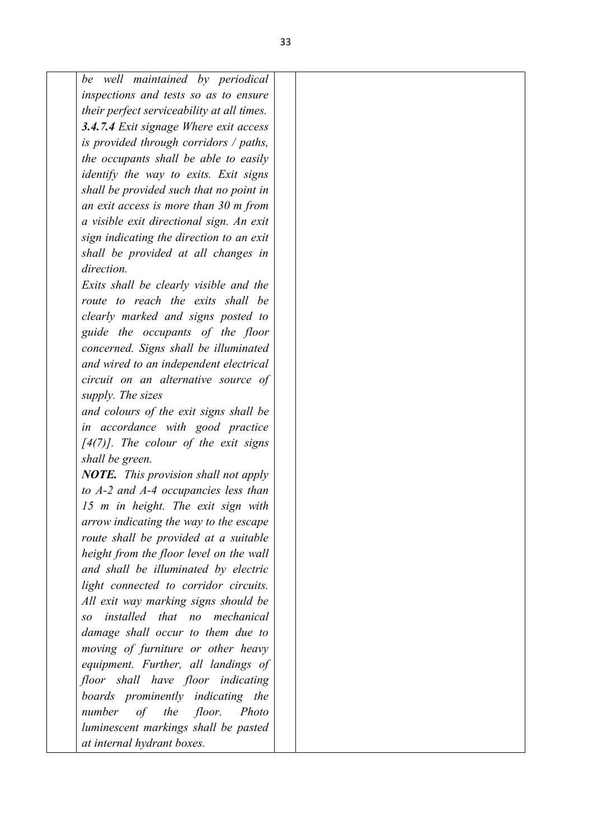*be well maintained by periodical inspections and tests so as to ensure their perfect serviceability at all times. 3.4.7.4 Exit signage Where exit access is provided through corridors / paths, the occupants shall be able to easily identify the way to exits. Exit signs shall be provided such that no point in an exit access is more than 30 m from a visible exit directional sign. An exit sign indicating the direction to an exit shall be provided at all changes in direction. Exits shall be clearly visible and the route to reach the exits shall be clearly marked and signs posted to guide the occupants of the floor concerned. Signs shall be illuminated and wired to an independent electrical circuit on an alternative source of supply. The sizes and colours of the exit signs shall be in accordance with good practice [4(7)]. The colour of the exit signs shall be green. NOTE. This provision shall not apply to A-2 and A-4 occupancies less than 15 m in height. The exit sign with arrow indicating the way to the escape route shall be provided at a suitable height from the floor level on the wall and shall be illuminated by electric light connected to corridor circuits. All exit way marking signs should be so installed that no mechanical damage shall occur to them due to moving of furniture or other heavy equipment. Further, all landings of floor shall have floor indicating boards prominently indicating the number of the floor. Photo luminescent markings shall be pasted at internal hydrant boxes.*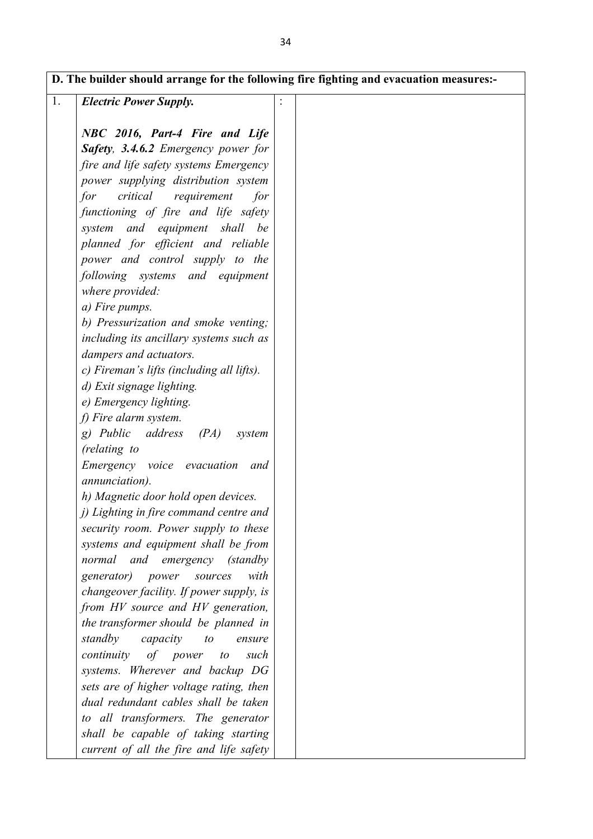| 1. | <b>Electric Power Supply.</b>                                                   |  |
|----|---------------------------------------------------------------------------------|--|
|    |                                                                                 |  |
|    | NBC 2016, Part-4 Fire and Life                                                  |  |
|    | Safety, 3.4.6.2 Emergency power for                                             |  |
|    | fire and life safety systems Emergency                                          |  |
|    | power supplying distribution system                                             |  |
|    | critical<br>for<br>requirement<br>for                                           |  |
|    | functioning of fire and life safety                                             |  |
|    | system and equipment shall be                                                   |  |
|    | planned for efficient and reliable                                              |  |
|    | power and control supply to the                                                 |  |
|    | following systems and equipment                                                 |  |
|    | where provided:                                                                 |  |
|    | a) Fire pumps.                                                                  |  |
|    | b) Pressurization and smoke venting;                                            |  |
|    | including its ancillary systems such as                                         |  |
|    | dampers and actuators.                                                          |  |
|    | c) Fireman's lifts (including all lifts).                                       |  |
|    | d) Exit signage lighting.                                                       |  |
|    | e) Emergency lighting.                                                          |  |
|    | f) Fire alarm system.                                                           |  |
|    | g) Public<br>address<br>(PA)<br>system                                          |  |
|    | (relating to                                                                    |  |
|    | Emergency voice evacuation<br>and                                               |  |
|    | annunciation).                                                                  |  |
|    | h) Magnetic door hold open devices.                                             |  |
|    | j) Lighting in fire command centre and                                          |  |
|    | security room. Power supply to these                                            |  |
|    | systems and equipment shall be from                                             |  |
|    | normal and emergency (standby                                                   |  |
|    | generator) power<br>with<br>sources                                             |  |
|    | changeover facility. If power supply, is                                        |  |
|    | from HV source and HV generation,                                               |  |
|    | the transformer should be planned in                                            |  |
|    | standby<br>capacity<br>to<br>ensure                                             |  |
|    | continuity<br>of<br>power<br>to<br>such                                         |  |
|    | systems. Wherever and backup DG                                                 |  |
|    | sets are of higher voltage rating, then<br>dual redundant cables shall be taken |  |
|    |                                                                                 |  |
|    | to all transformers. The generator                                              |  |
|    | shall be capable of taking starting                                             |  |
|    | current of all the fire and life safety                                         |  |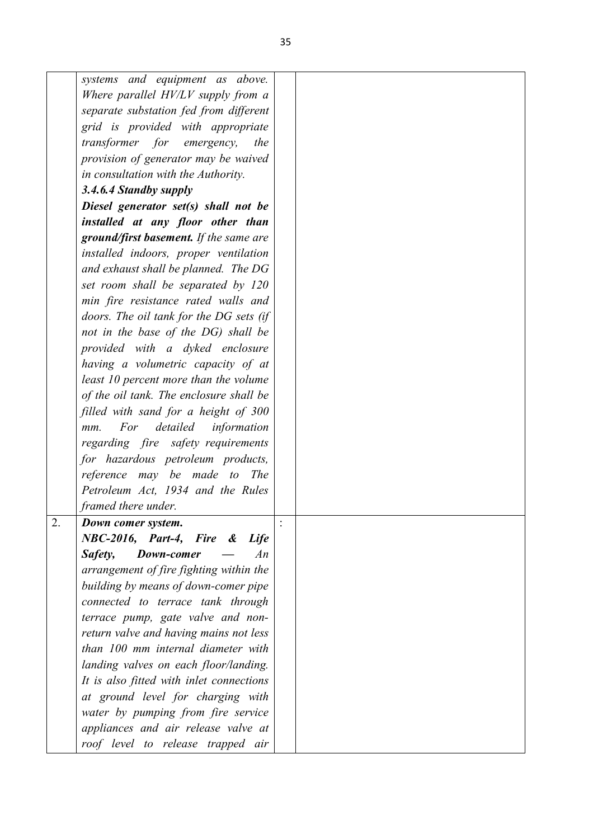|    | systems and equipment as above.          |  |
|----|------------------------------------------|--|
|    | Where parallel HV/LV supply from a       |  |
|    | separate substation fed from different   |  |
|    | grid is provided with appropriate        |  |
|    | transformer for emergency, the           |  |
|    | provision of generator may be waived     |  |
|    | in consultation with the Authority.      |  |
|    | 3.4.6.4 Standby supply                   |  |
|    | Diesel generator set(s) shall not be     |  |
|    | installed at any floor other than        |  |
|    | ground/first basement. If the same are   |  |
|    | installed indoors, proper ventilation    |  |
|    | and exhaust shall be planned. The DG     |  |
|    | set room shall be separated by 120       |  |
|    | min fire resistance rated walls and      |  |
|    | doors. The oil tank for the DG sets (if  |  |
|    | not in the base of the DG) shall be      |  |
|    | provided with a dyked enclosure          |  |
|    | having a volumetric capacity of at       |  |
|    | least 10 percent more than the volume    |  |
|    | of the oil tank. The enclosure shall be  |  |
|    | filled with sand for a height of 300     |  |
|    | For<br>detailed<br>information<br>$mm$ . |  |
|    | regarding fire safety requirements       |  |
|    | for hazardous petroleum products,        |  |
|    | reference may be made to<br><i>The</i>   |  |
|    | Petroleum Act, 1934 and the Rules        |  |
|    | framed there under.                      |  |
| 2. | Down comer system.                       |  |
|    | NBC-2016, Part-4, Fire & Life            |  |
|    | Safety,<br>Down-comer<br>An              |  |
|    | arrangement of fire fighting within the  |  |
|    | building by means of down-comer pipe     |  |
|    | connected to terrace tank through        |  |
|    | terrace pump, gate valve and non-        |  |
|    | return valve and having mains not less   |  |
|    | than 100 mm internal diameter with       |  |
|    | landing valves on each floor/landing.    |  |
|    | It is also fitted with inlet connections |  |
|    | at ground level for charging with        |  |
|    | water by pumping from fire service       |  |
|    | appliances and air release valve at      |  |
|    | roof level to release trapped air        |  |
|    |                                          |  |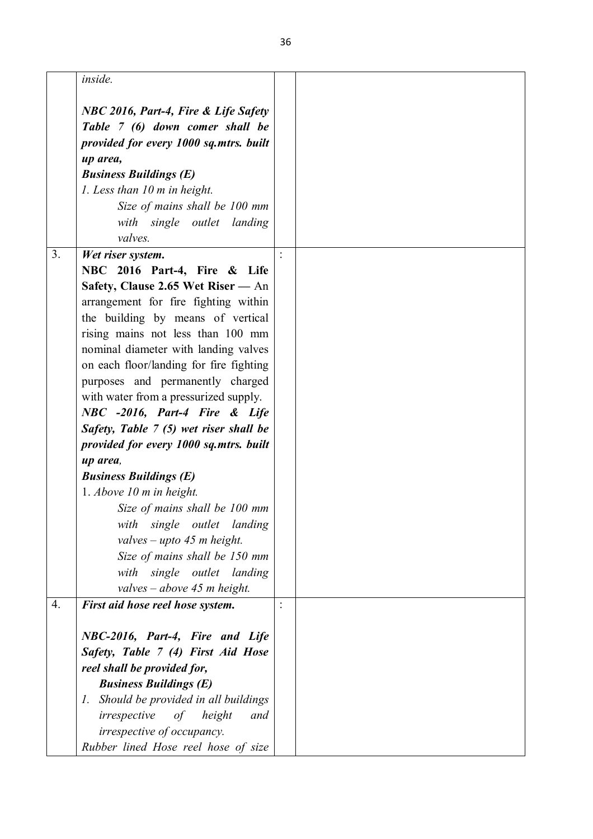|                  | inside.                                           |  |
|------------------|---------------------------------------------------|--|
|                  | NBC 2016, Part-4, Fire & Life Safety              |  |
|                  | Table 7 (6) down comer shall be                   |  |
|                  | provided for every 1000 sq.mtrs. built            |  |
|                  | up area,                                          |  |
|                  | <b>Business Buildings (E)</b>                     |  |
|                  | 1. Less than $10$ m in height.                    |  |
|                  | Size of mains shall be 100 mm                     |  |
|                  | with single outlet landing                        |  |
|                  | valves.                                           |  |
| 3.               | Wet riser system.                                 |  |
|                  | NBC 2016 Part-4, Fire & Life                      |  |
|                  | Safety, Clause 2.65 Wet Riser - An                |  |
|                  | arrangement for fire fighting within              |  |
|                  | the building by means of vertical                 |  |
|                  | rising mains not less than 100 mm                 |  |
|                  | nominal diameter with landing valves              |  |
|                  | on each floor/landing for fire fighting           |  |
|                  | purposes and permanently charged                  |  |
|                  | with water from a pressurized supply.             |  |
|                  | NBC -2016, Part-4 Fire & Life                     |  |
|                  | Safety, Table 7 (5) wet riser shall be            |  |
|                  | provided for every 1000 sq.mtrs. built            |  |
|                  | up area,                                          |  |
|                  | <b>Business Buildings (E)</b>                     |  |
|                  | 1. Above $10$ m in height.                        |  |
|                  | Size of mains shall be 100 mm                     |  |
|                  | single outlet landing<br>with                     |  |
|                  | valves – upto 45 m height.                        |  |
|                  | Size of mains shall be 150 mm                     |  |
|                  | with single outlet landing                        |  |
|                  | valves – above 45 m height.                       |  |
| $\overline{4}$ . | First aid hose reel hose system.                  |  |
|                  |                                                   |  |
|                  | NBC-2016, Part-4, Fire and Life                   |  |
|                  | Safety, Table 7 (4) First Aid Hose                |  |
|                  | reel shall be provided for,                       |  |
|                  | <b>Business Buildings (E)</b>                     |  |
|                  | Should be provided in all buildings<br>$\Gamma$ . |  |
|                  | irrespective<br>of height<br>and                  |  |
|                  | irrespective of occupancy.                        |  |
|                  | Rubber lined Hose reel hose of size               |  |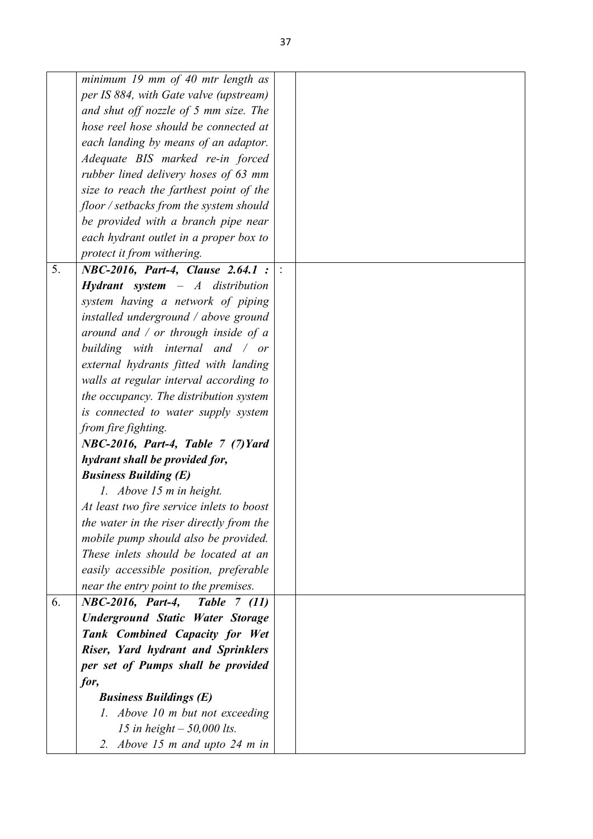|    | minimum 19 mm of 40 mtr length as         |  |
|----|-------------------------------------------|--|
|    | per IS 884, with Gate valve (upstream)    |  |
|    | and shut off nozzle of $5$ mm size. The   |  |
|    | hose reel hose should be connected at     |  |
|    | each landing by means of an adaptor.      |  |
|    | Adequate BIS marked re-in forced          |  |
|    | rubber lined delivery hoses of 63 mm      |  |
|    | size to reach the farthest point of the   |  |
|    | floor / setbacks from the system should   |  |
|    | be provided with a branch pipe near       |  |
|    | each hydrant outlet in a proper box to    |  |
|    | protect it from withering.                |  |
| 5. | NBC-2016, Part-4, Clause 2.64.1 :         |  |
|    | <b>Hydrant</b> system $-A$ distribution   |  |
|    | system having a network of piping         |  |
|    | installed underground / above ground      |  |
|    | around and $\ell$ or through inside of a  |  |
|    | building with internal and $\sqrt{or}$    |  |
|    | external hydrants fitted with landing     |  |
|    | walls at regular interval according to    |  |
|    | the occupancy. The distribution system    |  |
|    | is connected to water supply system       |  |
|    | from fire fighting.                       |  |
|    | $NBC-2016$ , Part-4, Table 7 (7) Yard     |  |
|    | hydrant shall be provided for,            |  |
|    | <b>Business Building (E)</b>              |  |
|    | 1. Above 15 m in height.                  |  |
|    | At least two fire service inlets to boost |  |
|    | the water in the riser directly from the  |  |
|    | mobile pump should also be provided.      |  |
|    | These inlets should be located at an      |  |
|    | easily accessible position, preferable    |  |
|    | near the entry point to the premises.     |  |
| 6. | NBC-2016, Part-4,<br><b>Table</b> 7 (11)  |  |
|    | <b>Underground Static Water Storage</b>   |  |
|    | Tank Combined Capacity for Wet            |  |
|    | Riser, Yard hydrant and Sprinklers        |  |
|    | per set of Pumps shall be provided        |  |
|    | for,                                      |  |
|    | <b>Business Buildings (E)</b>             |  |
|    | 1. Above 10 m but not exceeding           |  |
|    | 15 in height $-$ 50,000 lts.              |  |
|    | 2. Above 15 m and upto 24 m in            |  |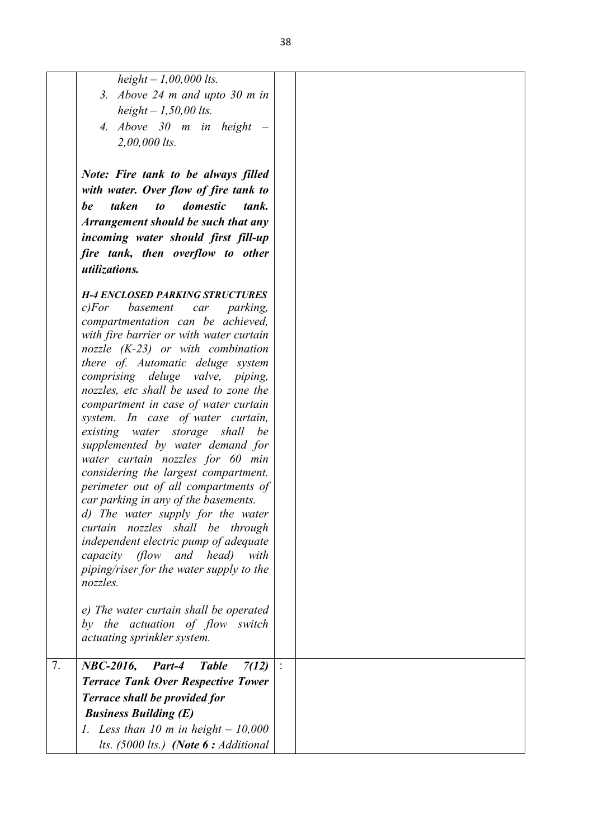|    | height $-1,00,000$ lts.                                                      |  |
|----|------------------------------------------------------------------------------|--|
|    | 3. Above $24$ m and upto $30$ m in                                           |  |
|    | height $-1,50,00$ lts.                                                       |  |
|    | 4. Above $30$ m in height $-$                                                |  |
|    | $2,00,000$ lts.                                                              |  |
|    |                                                                              |  |
|    |                                                                              |  |
|    | Note: Fire tank to be always filled                                          |  |
|    | with water. Over flow of fire tank to                                        |  |
|    | $\iota$<br>domestic<br>taken<br>be<br>tank.                                  |  |
|    | Arrangement should be such that any                                          |  |
|    | incoming water should first fill-up                                          |  |
|    | fire tank, then overflow to other                                            |  |
|    | utilizations.                                                                |  |
|    |                                                                              |  |
|    | <b>H-4 ENCLOSED PARKING STRUCTURES</b><br>c) For<br>basement<br>car parking, |  |
|    | compartmentation can be achieved,                                            |  |
|    | with fire barrier or with water curtain                                      |  |
|    | nozzle $(K-23)$ or with combination                                          |  |
|    | there of. Automatic deluge system                                            |  |
|    | comprising deluge valve, piping,                                             |  |
|    | nozzles, etc shall be used to zone the                                       |  |
|    | compartment in case of water curtain                                         |  |
|    | system. In case of water curtain,                                            |  |
|    | existing water storage shall<br>be                                           |  |
|    | supplemented by water demand for                                             |  |
|    | water curtain nozzles for 60 min<br>considering the largest compartment.     |  |
|    | perimeter out of all compartments of                                         |  |
|    | car parking in any of the basements.                                         |  |
|    | d) The water supply for the water                                            |  |
|    | curtain nozzles shall be through                                             |  |
|    | independent electric pump of adequate                                        |  |
|    | capacity (flow and head)<br>with                                             |  |
|    | piping/riser for the water supply to the                                     |  |
|    | nozzles.                                                                     |  |
|    |                                                                              |  |
|    | e) The water curtain shall be operated                                       |  |
|    | by the actuation of flow switch                                              |  |
|    | actuating sprinkler system.                                                  |  |
| 7. | <b>NBC-2016,</b><br>7(12)<br>Part-4<br><b>Table</b>                          |  |
|    | <b>Terrace Tank Over Respective Tower</b>                                    |  |
|    |                                                                              |  |
|    | <b>Terrace shall be provided for</b>                                         |  |
|    | <b>Business Building (E)</b>                                                 |  |
|    | 1. Less than 10 m in height $-10,000$                                        |  |
|    | lts. $(5000$ lts.) (Note $6:$ Additional                                     |  |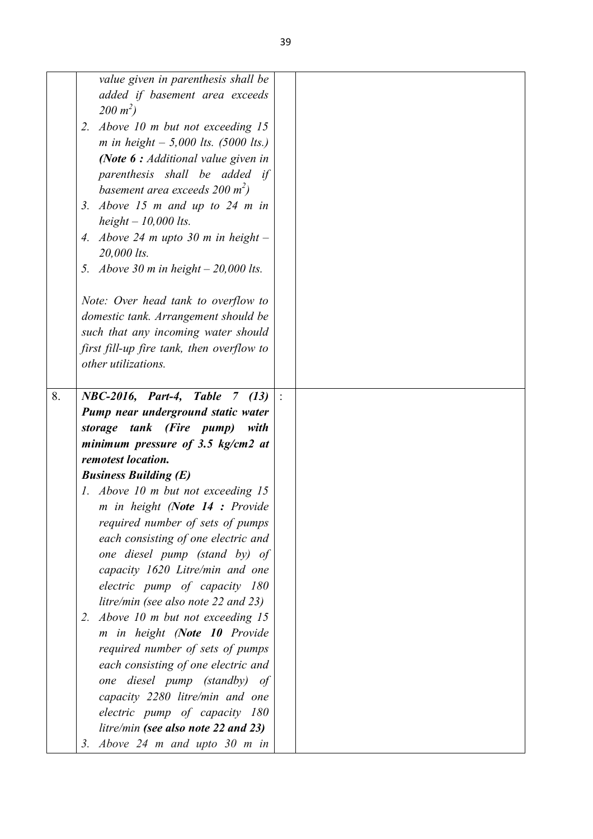|    | value given in parenthesis shall be           |  |
|----|-----------------------------------------------|--|
|    | added if basement area exceeds                |  |
|    | $200 \; m^2$ )                                |  |
|    | 2. Above 10 m but not exceeding 15            |  |
|    | <i>m</i> in height $-$ 5,000 lts. (5000 lts.) |  |
|    | (Note $6:$ Additional value given in          |  |
|    | parenthesis shall be added if                 |  |
|    | basement area exceeds 200 $m^2$ )             |  |
|    | 3. Above 15 $m$ and up to 24 $m$ in           |  |
|    | height $-10,000$ lts.                         |  |
|    | 4. Above 24 m upto 30 m in height $-$         |  |
|    | 20,000 lts.                                   |  |
|    | 5. Above 30 m in height $-20,000$ lts.        |  |
|    |                                               |  |
|    | Note: Over head tank to overflow to           |  |
|    | domestic tank. Arrangement should be          |  |
|    | such that any incoming water should           |  |
|    | first fill-up fire tank, then overflow to     |  |
|    | other utilizations.                           |  |
|    |                                               |  |
| 8. | NBC-2016, Part-4, Table 7 (13)                |  |
|    | Pump near underground static water            |  |
|    | storage tank (Fire pump) with                 |  |
|    | minimum pressure of 3.5 $kg/cm2$ at           |  |
|    | remotest location.                            |  |
|    | <b>Business Building (E)</b>                  |  |
|    | 1. Above 10 m but not exceeding 15            |  |
|    | m in height (Note 14 : Provide                |  |
|    | required number of sets of pumps              |  |
|    | each consisting of one electric and           |  |
|    | one diesel pump (stand by) of                 |  |
|    | capacity 1620 Litre/min and one               |  |
|    | electric pump of capacity 180                 |  |
|    | litre/min (see also note 22 and 23)           |  |
|    | 2. Above 10 m but not exceeding 15            |  |
|    | m in height (Note 10 Provide                  |  |
|    | required number of sets of pumps              |  |
|    | each consisting of one electric and           |  |
|    | one diesel pump (standby) of                  |  |
|    | capacity 2280 litre/min and one               |  |
|    | electric pump of capacity 180                 |  |
|    | litre/min (see also note 22 and 23)           |  |
|    | 3. Above $24$ m and upto $30$ m in            |  |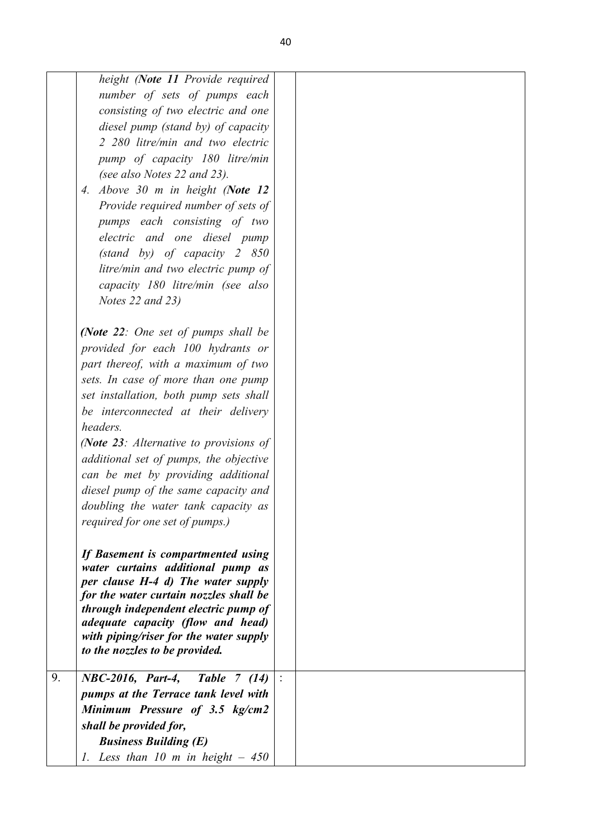| height (Note 11 Provide required<br>number of sets of pumps each<br>consisting of two electric and one<br>diesel pump (stand by) of capacity<br>2 280 litre/min and two electric<br>pump of capacity 180 litre/min<br>(see also Notes 22 and 23).<br>4. Above 30 m in height (Note 12<br>Provide required number of sets of<br>pumps each consisting of two |  |
|-------------------------------------------------------------------------------------------------------------------------------------------------------------------------------------------------------------------------------------------------------------------------------------------------------------------------------------------------------------|--|
| electric and one diesel pump<br>$(stat$ by) of capacity 2 850<br>litre/min and two electric pump of<br>capacity 180 litre/min (see also<br>Notes 22 and 23)                                                                                                                                                                                                 |  |
| (Note 22: One set of pumps shall be<br>provided for each 100 hydrants or<br>part thereof, with a maximum of two<br>sets. In case of more than one pump<br>set installation, both pump sets shall<br>be interconnected at their delivery<br>headers.                                                                                                         |  |
| (Note 23: Alternative to provisions of<br>additional set of pumps, the objective<br>can be met by providing additional<br>diesel pump of the same capacity and<br>doubling the water tank capacity as<br>required for one set of pumps.)                                                                                                                    |  |
| If Basement is compartmented using<br>water curtains additional pump as<br>per clause H-4 d) The water supply<br>for the water curtain nozzles shall be<br>through independent electric pump of<br><i>adequate capacity (flow and head)</i><br>with piping/riser for the water supply<br>to the nozzles to be provided.                                     |  |
| 9.<br>NBC-2016, Part-4,<br><b>Table</b> 7 (14)<br>pumps at the Terrace tank level with<br>Minimum Pressure of 3.5 kg/cm2<br>shall be provided for,<br><b>Business Building (E)</b><br>1. Less than 10 m in height $-450$                                                                                                                                    |  |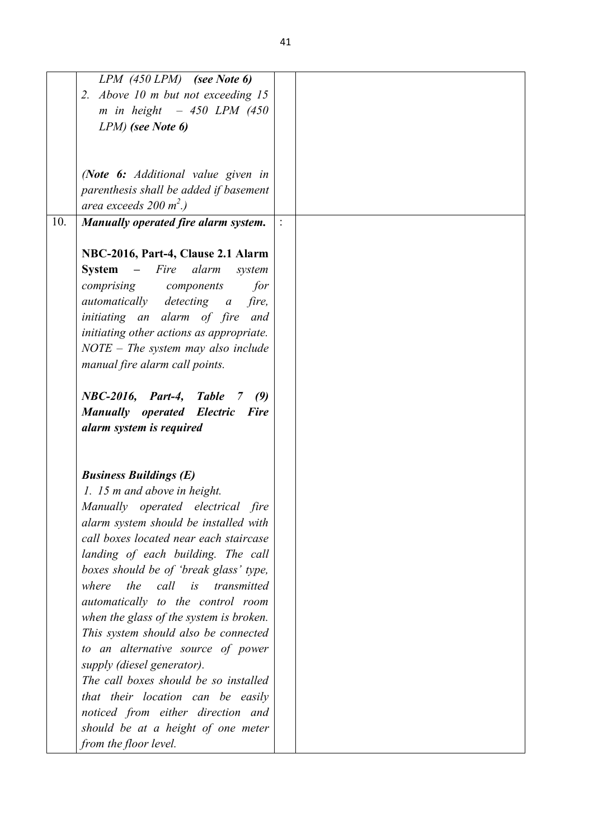|     | $LPM$ (450 LPM) (see Note 6)                     |  |
|-----|--------------------------------------------------|--|
|     | 2. Above 10 m but not exceeding 15               |  |
|     | m in height $-450$ LPM (450)                     |  |
|     | LPM) (see Note 6)                                |  |
|     |                                                  |  |
|     |                                                  |  |
|     | (Note 6: Additional value given in               |  |
|     | parenthesis shall be added if basement           |  |
|     | area exceeds $200 \text{ m}^2$ .)                |  |
| 10. | Manually operated fire alarm system.             |  |
|     |                                                  |  |
|     | NBC-2016, Part-4, Clause 2.1 Alarm               |  |
|     | <b>System</b><br>– Fire alarm<br>system          |  |
|     |                                                  |  |
|     | comprising components<br>for                     |  |
|     | automatically detecting a fire,                  |  |
|     | initiating an alarm of fire and                  |  |
|     | initiating other actions as appropriate.         |  |
|     | $NOTE$ – The system may also include             |  |
|     | manual fire alarm call points.                   |  |
|     |                                                  |  |
|     | NBC-2016, Part-4, Table<br>$\overline{7}$<br>(9) |  |
|     | <b>Manually operated Electric Fire</b>           |  |
|     | alarm system is required                         |  |
|     |                                                  |  |
|     |                                                  |  |
|     | <b>Business Buildings (E)</b>                    |  |
|     | 1. 15 m and above in height.                     |  |
|     | Manually operated electrical fire                |  |
|     | alarm system should be installed with            |  |
|     | call boxes located near each staircase           |  |
|     | landing of each building. The call               |  |
|     | boxes should be of 'break glass' type,           |  |
|     | where<br>the call is transmitted                 |  |
|     | automatically to the control room                |  |
|     | when the glass of the system is broken.          |  |
|     | This system should also be connected             |  |
|     | to an alternative source of power                |  |
|     | supply (diesel generator).                       |  |
|     | The call boxes should be so installed            |  |
|     | that their location can be easily                |  |
|     | noticed from either direction and                |  |
|     | should be at a height of one meter               |  |
|     | from the floor level.                            |  |
|     |                                                  |  |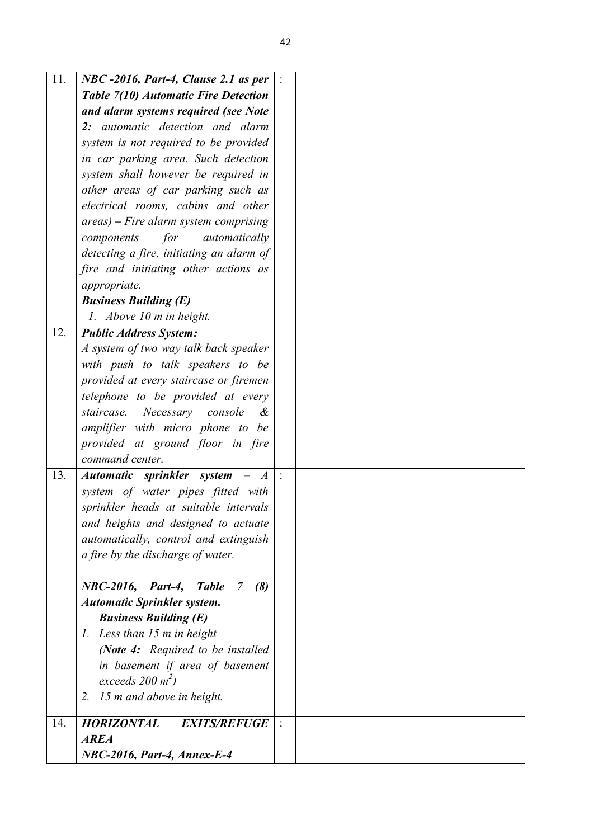| 11. | NBC -2016, Part-4, Clause 2.1 as per             |  |
|-----|--------------------------------------------------|--|
|     | Table 7(10) Automatic Fire Detection             |  |
|     | and alarm systems required (see Note             |  |
|     | 2: automatic detection and alarm                 |  |
|     | system is not required to be provided            |  |
|     | in car parking area. Such detection              |  |
|     | system shall however be required in              |  |
|     | other areas of car parking such as               |  |
|     | electrical rooms, cabins and other               |  |
|     | $areas$ ) – Fire alarm system comprising         |  |
|     | for<br>components<br>automatically               |  |
|     | detecting a fire, initiating an alarm of         |  |
|     | fire and initiating other actions as             |  |
|     | appropriate.                                     |  |
|     | <b>Business Building (E)</b>                     |  |
|     | 1. Above 10 m in height.                         |  |
| 12. | <b>Public Address System:</b>                    |  |
|     | A system of two way talk back speaker            |  |
|     | with push to talk speakers to be                 |  |
|     | provided at every staircase or firemen           |  |
|     | telephone to be provided at every                |  |
|     | staircase.<br>Necessary console<br>&             |  |
|     | amplifier with micro phone to be                 |  |
|     | provided at ground floor in fire                 |  |
|     | command center.                                  |  |
| 13. | Automatic sprinkler system -<br>$\boldsymbol{A}$ |  |
|     | system of water pipes fitted with                |  |
|     | sprinkler heads at suitable intervals            |  |
|     | and heights and designed to actuate              |  |
|     | automatically, control and extinguish            |  |
|     | a fire by the discharge of water.                |  |
|     |                                                  |  |
|     | NBC-2016, Part-4, Table<br>(8)<br>7              |  |
|     | <b>Automatic Sprinkler system.</b>               |  |
|     | <b>Business Building (E)</b>                     |  |
|     | 1. Less than 15 m in height                      |  |
|     | (Note 4: Required to be installed                |  |
|     | in basement if area of basement                  |  |
|     | exceeds $200 \text{ m}^2$ )                      |  |
|     | 15 m and above in height.<br>2.                  |  |
| 14. | <b>HORIZONTAL</b><br><b>EXITS/REFUGE</b>         |  |
|     | <b>AREA</b>                                      |  |
|     | NBC-2016, Part-4, Annex-E-4                      |  |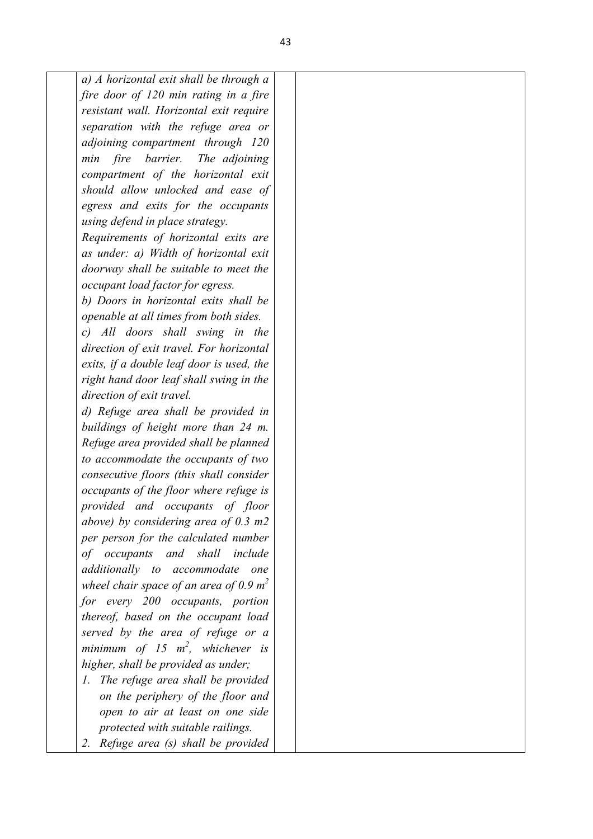*a) A horizontal exit shall be through a fire door of 120 min rating in a fire resistant wall. Horizontal exit require separation with the refuge area or adjoining compartment through 120 min fire barrier. The adjoining compartment of the horizontal exit should allow unlocked and ease of egress and exits for the occupants using defend in place strategy. Requirements of horizontal exits are* 

*as under: a) Width of horizontal exit doorway shall be suitable to meet the occupant load factor for egress.*

*b) Doors in horizontal exits shall be openable at all times from both sides.*

*c) All doors shall swing in the direction of exit travel. For horizontal exits, if a double leaf door is used, the right hand door leaf shall swing in the direction of exit travel.*

*d) Refuge area shall be provided in buildings of height more than 24 m. Refuge area provided shall be planned to accommodate the occupants of two consecutive floors (this shall consider occupants of the floor where refuge is provided and occupants of floor above) by considering area of 0.3 m2 per person for the calculated number of occupants and shall include additionally to accommodate one wheel chair space of an area of 0.9 m<sup>2</sup> for every 200 occupants, portion thereof, based on the occupant load served by the area of refuge or a minimum of 15 m<sup>2</sup> , whichever is higher, shall be provided as under;*

- *1. The refuge area shall be provided on the periphery of the floor and open to air at least on one side protected with suitable railings.*
- *2. Refuge area (s) shall be provided*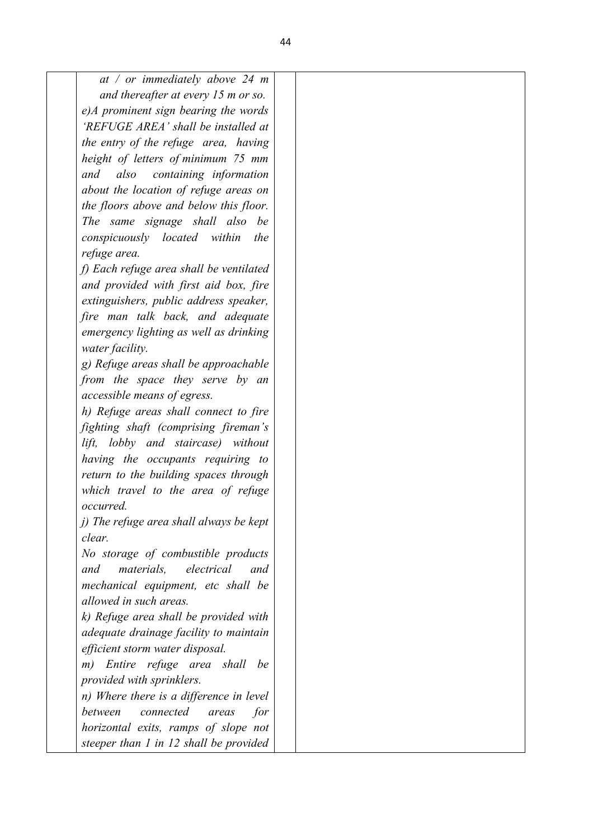| at / or immediately above 24 m                |  |  |  |  |
|-----------------------------------------------|--|--|--|--|
| and thereafter at every 15 m or so.           |  |  |  |  |
| e)A prominent sign bearing the words          |  |  |  |  |
| 'REFUGE AREA' shall be installed at           |  |  |  |  |
| the entry of the refuge area, having          |  |  |  |  |
| height of letters of minimum 75 mm            |  |  |  |  |
| containing information<br>and<br>also         |  |  |  |  |
| about the location of refuge areas on         |  |  |  |  |
| the floors above and below this floor.        |  |  |  |  |
| The same signage shall also<br>be             |  |  |  |  |
| conspicuously located within<br>the           |  |  |  |  |
| refuge area.                                  |  |  |  |  |
| f) Each refuge area shall be ventilated       |  |  |  |  |
| and provided with first aid box, fire         |  |  |  |  |
| extinguishers, public address speaker,        |  |  |  |  |
| fire man talk back, and adequate              |  |  |  |  |
| emergency lighting as well as drinking        |  |  |  |  |
| water facility.                               |  |  |  |  |
| g) Refuge areas shall be approachable         |  |  |  |  |
| from the space they serve by an               |  |  |  |  |
| accessible means of egress.                   |  |  |  |  |
| h) Refuge areas shall connect to fire         |  |  |  |  |
| fighting shaft (comprising fireman's          |  |  |  |  |
| lobby and staircase) without<br>lift,         |  |  |  |  |
| having the occupants requiring to             |  |  |  |  |
| return to the building spaces through         |  |  |  |  |
| which travel to the area of refuge            |  |  |  |  |
| occurred.                                     |  |  |  |  |
| j) The refuge area shall always be kept       |  |  |  |  |
| clear.                                        |  |  |  |  |
| No storage of combustible products            |  |  |  |  |
| electrical<br>and<br><i>materials.</i><br>and |  |  |  |  |
| mechanical equipment, etc shall be            |  |  |  |  |
| allowed in such areas.                        |  |  |  |  |
| k) Refuge area shall be provided with         |  |  |  |  |
| adequate drainage facility to maintain        |  |  |  |  |
| efficient storm water disposal.               |  |  |  |  |
| Entire refuge area shall be<br>m)             |  |  |  |  |
| provided with sprinklers.                     |  |  |  |  |
| n) Where there is a difference in level       |  |  |  |  |
| between<br>connected<br>for<br>areas          |  |  |  |  |
| horizontal exits, ramps of slope not          |  |  |  |  |
| steeper than 1 in 12 shall be provided        |  |  |  |  |
|                                               |  |  |  |  |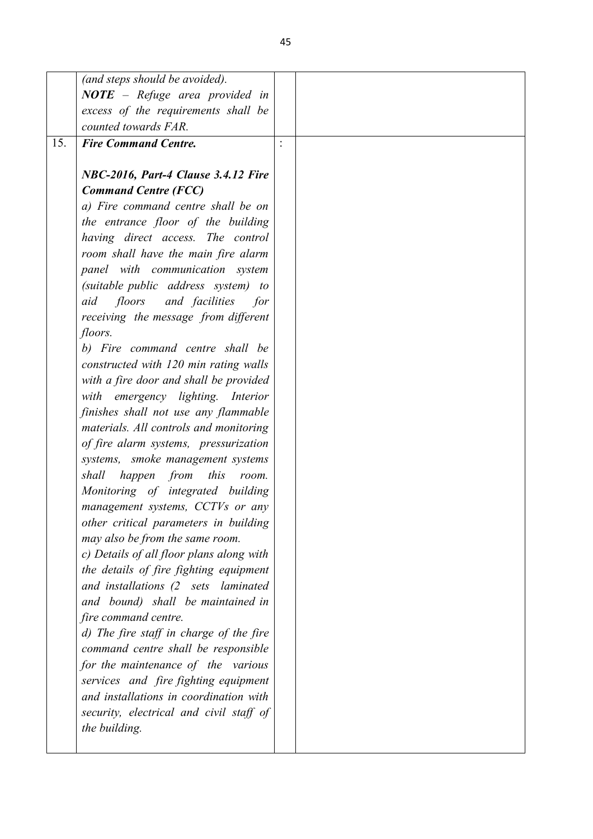| (and steps should be avoided).           |  |
|------------------------------------------|--|
| $NOTE - Replace area provided in$        |  |
| excess of the requirements shall be      |  |
| counted towards FAR.                     |  |
| <b>Fire Command Centre.</b><br>15.       |  |
| NBC-2016, Part-4 Clause 3.4.12 Fire      |  |
| <b>Command Centre (FCC)</b>              |  |
| a) Fire command centre shall be on       |  |
| the entrance floor of the building       |  |
| having direct access. The control        |  |
| room shall have the main fire alarm      |  |
| panel with communication system          |  |
| (suitable public address system) to      |  |
| floors and facilities<br>aid<br>for      |  |
| receiving the message from different     |  |
| floors.                                  |  |
| b) Fire command centre shall be          |  |
| constructed with 120 min rating walls    |  |
| with a fire door and shall be provided   |  |
| with emergency lighting. Interior        |  |
| finishes shall not use any flammable     |  |
| materials. All controls and monitoring   |  |
| of fire alarm systems, pressurization    |  |
| systems, smoke management systems        |  |
| shall<br>happen from<br>this<br>room.    |  |
| Monitoring of integrated building        |  |
| management systems, CCTVs or any         |  |
| other critical parameters in building    |  |
| may also be from the same room.          |  |
| c) Details of all floor plans along with |  |
| the details of fire fighting equipment   |  |
| and installations (2 sets laminated      |  |
| and bound) shall be maintained in        |  |
| fire command centre.                     |  |
| d) The fire staff in charge of the fire  |  |
| command centre shall be responsible      |  |
| for the maintenance of the various       |  |
| services and fire fighting equipment     |  |
| and installations in coordination with   |  |
| security, electrical and civil staff of  |  |
| the building.                            |  |
|                                          |  |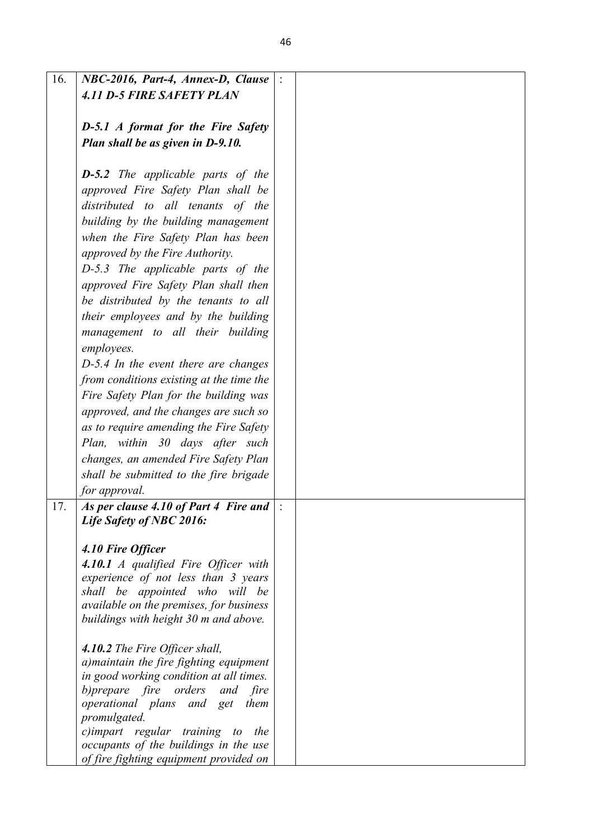| 16. | NBC-2016, Part-4, Annex-D, Clause           |  |
|-----|---------------------------------------------|--|
|     | <b>4.11 D-5 FIRE SAFETY PLAN</b>            |  |
|     |                                             |  |
|     |                                             |  |
|     | <b>D-5.1</b> A format for the Fire Safety   |  |
|     | Plan shall be as given in D-9.10.           |  |
|     |                                             |  |
|     |                                             |  |
|     | <b>D-5.2</b> The applicable parts of the    |  |
|     | approved Fire Safety Plan shall be          |  |
|     | distributed to all tenants of the           |  |
|     |                                             |  |
|     | building by the building management         |  |
|     | when the Fire Safety Plan has been          |  |
|     | approved by the Fire Authority.             |  |
|     |                                             |  |
|     | D-5.3 The applicable parts of the           |  |
|     | approved Fire Safety Plan shall then        |  |
|     | be distributed by the tenants to all        |  |
|     |                                             |  |
|     | their employees and by the building         |  |
|     | management to all their building            |  |
|     | employees.                                  |  |
|     | $D-5.4$ In the event there are changes      |  |
|     |                                             |  |
|     | from conditions existing at the time the    |  |
|     | Fire Safety Plan for the building was       |  |
|     | approved, and the changes are such so       |  |
|     | as to require amending the Fire Safety      |  |
|     |                                             |  |
|     | Plan, within 30 days after such             |  |
|     | changes, an amended Fire Safety Plan        |  |
|     | shall be submitted to the fire brigade      |  |
|     | for approval.                               |  |
|     |                                             |  |
| 17. | As per clause 4.10 of Part 4 Fire and       |  |
|     | Life Safety of NBC 2016:                    |  |
|     |                                             |  |
|     | 4.10 Fire Officer                           |  |
|     | <b>4.10.1</b> A qualified Fire Officer with |  |
|     | experience of not less than 3 years         |  |
|     |                                             |  |
|     | shall be appointed who will be              |  |
|     | available on the premises, for business     |  |
|     | buildings with height 30 m and above.       |  |
|     |                                             |  |
|     | 4.10.2 The Fire Officer shall,              |  |
|     | a) maintain the fire fighting equipment     |  |
|     | in good working condition at all times.     |  |
|     | b) prepare fire orders and<br>fire          |  |
|     | operational plans and get them              |  |
|     |                                             |  |
|     | promulgated.                                |  |
|     | c)impart regular training to<br>the         |  |
|     | occupants of the buildings in the use       |  |
|     | of fire fighting equipment provided on      |  |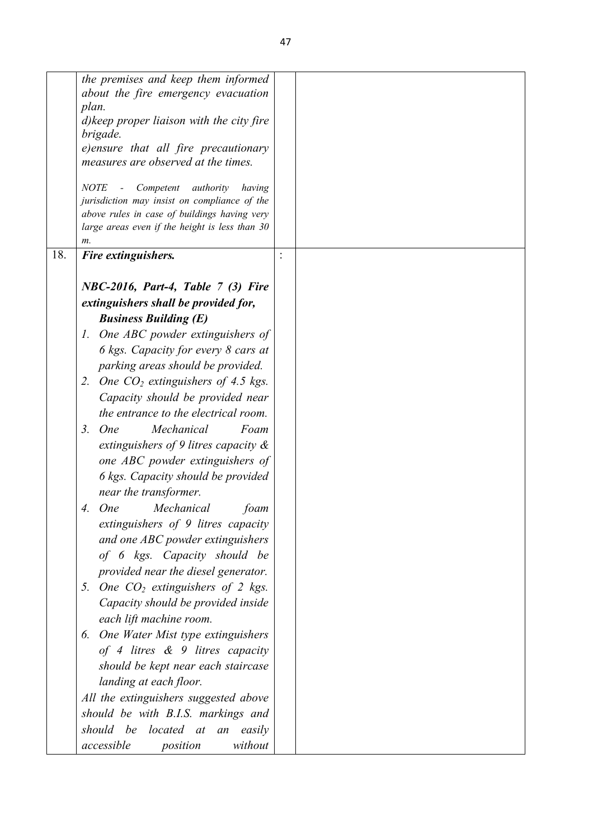|     | the premises and keep them informed                                                                                                                                                                                                                                                                             |                |
|-----|-----------------------------------------------------------------------------------------------------------------------------------------------------------------------------------------------------------------------------------------------------------------------------------------------------------------|----------------|
|     | about the fire emergency evacuation                                                                                                                                                                                                                                                                             |                |
|     | plan.                                                                                                                                                                                                                                                                                                           |                |
|     | d) keep proper liaison with the city fire                                                                                                                                                                                                                                                                       |                |
|     | brigade.                                                                                                                                                                                                                                                                                                        |                |
|     | e)ensure that all fire precautionary                                                                                                                                                                                                                                                                            |                |
|     | measures are observed at the times.                                                                                                                                                                                                                                                                             |                |
|     | <b>NOTE</b><br>Competent<br>authority<br>having                                                                                                                                                                                                                                                                 |                |
|     | jurisdiction may insist on compliance of the                                                                                                                                                                                                                                                                    |                |
|     | above rules in case of buildings having very                                                                                                                                                                                                                                                                    |                |
|     | large areas even if the height is less than 30                                                                                                                                                                                                                                                                  |                |
|     | m.                                                                                                                                                                                                                                                                                                              |                |
| 18. | Fire extinguishers.                                                                                                                                                                                                                                                                                             | $\ddot{\cdot}$ |
|     | NBC-2016, Part-4, Table 7 (3) Fire                                                                                                                                                                                                                                                                              |                |
|     |                                                                                                                                                                                                                                                                                                                 |                |
|     | extinguishers shall be provided for,                                                                                                                                                                                                                                                                            |                |
|     | <b>Business Building (E)</b>                                                                                                                                                                                                                                                                                    |                |
|     | One ABC powder extinguishers of<br>1.                                                                                                                                                                                                                                                                           |                |
|     | 6 kgs. Capacity for every 8 cars at                                                                                                                                                                                                                                                                             |                |
|     | parking areas should be provided.                                                                                                                                                                                                                                                                               |                |
|     | One $CO2$ extinguishers of 4.5 kgs.<br>2.                                                                                                                                                                                                                                                                       |                |
|     | Capacity should be provided near                                                                                                                                                                                                                                                                                |                |
|     | the entrance to the electrical room.                                                                                                                                                                                                                                                                            |                |
|     | Foam                                                                                                                                                                                                                                                                                                            |                |
|     | 3. One<br>Mechanical                                                                                                                                                                                                                                                                                            |                |
|     | extinguishers of 9 litres capacity $\&$                                                                                                                                                                                                                                                                         |                |
|     | one ABC powder extinguishers of                                                                                                                                                                                                                                                                                 |                |
|     | 6 kgs. Capacity should be provided                                                                                                                                                                                                                                                                              |                |
|     | near the transformer.                                                                                                                                                                                                                                                                                           |                |
|     | Mechanical<br><b>One</b><br>4.<br>foam                                                                                                                                                                                                                                                                          |                |
|     |                                                                                                                                                                                                                                                                                                                 |                |
|     |                                                                                                                                                                                                                                                                                                                 |                |
|     |                                                                                                                                                                                                                                                                                                                 |                |
|     |                                                                                                                                                                                                                                                                                                                 |                |
|     |                                                                                                                                                                                                                                                                                                                 |                |
|     |                                                                                                                                                                                                                                                                                                                 |                |
|     |                                                                                                                                                                                                                                                                                                                 |                |
|     |                                                                                                                                                                                                                                                                                                                 |                |
|     | One Water Mist type extinguishers<br>6.                                                                                                                                                                                                                                                                         |                |
|     | of 4 litres $\&$ 9 litres capacity                                                                                                                                                                                                                                                                              |                |
|     | should be kept near each staircase                                                                                                                                                                                                                                                                              |                |
|     | landing at each floor.                                                                                                                                                                                                                                                                                          |                |
|     | All the extinguishers suggested above                                                                                                                                                                                                                                                                           |                |
|     | should be with B.I.S. markings and                                                                                                                                                                                                                                                                              |                |
|     |                                                                                                                                                                                                                                                                                                                 |                |
|     | accessible                                                                                                                                                                                                                                                                                                      |                |
|     | extinguishers of 9 litres capacity<br>and one ABC powder extinguishers<br>of 6 kgs. Capacity should be<br>provided near the diesel generator.<br>5. One $CO2$ extinguishers of 2 kgs.<br>Capacity should be provided inside<br>each lift machine room.<br>should be located at an easily<br>without<br>position |                |